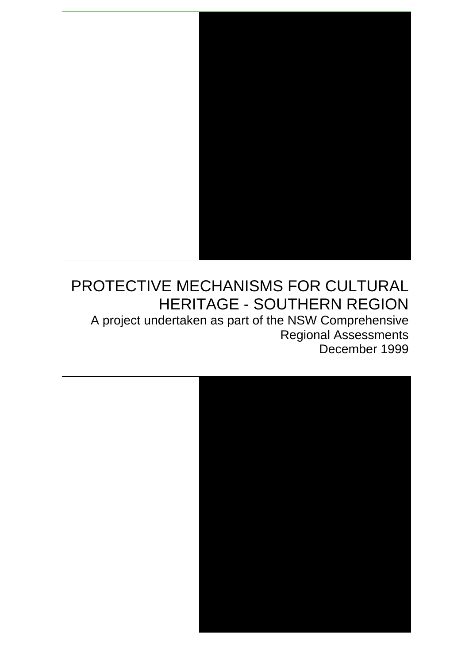

# PROTECTIVE MECHANISMS FOR CULTURAL HERITAGE - SOUTHERN REGION

A project undertaken as part of the NSW Comprehensive Regional Assessments December 1999

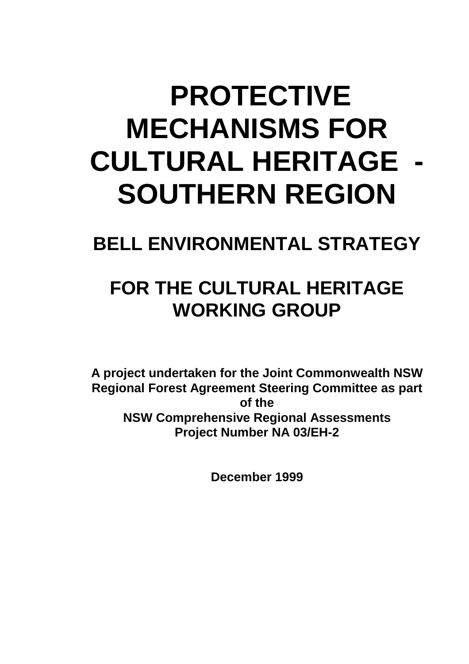# **PROTECTIVE MECHANISMS FOR CULTURAL HERITAGE - SOUTHERN REGION**

# **BELL ENVIRONMENTAL STRATEGY**

# **FOR THE CULTURAL HERITAGE WORKING GROUP**

**A project undertaken for the Joint Commonwealth NSW Regional Forest Agreement Steering Committee as part of the NSW Comprehensive Regional Assessments Project Number NA 03/EH-2**

**December 1999**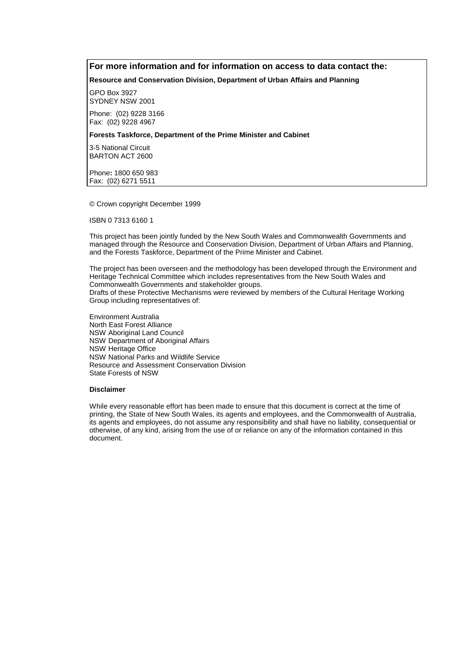#### **For more information and for information on access to data contact the:**

**Resource and Conservation Division, Department of Urban Affairs and Planning**

GPO Box 3927 SYDNEY NSW 2001

Phone: (02) 9228 3166 Fax: (02) 9228 4967

#### **Forests Taskforce, Department of the Prime Minister and Cabinet**

3-5 National Circuit BARTON ACT 2600

Phone**:** 1800 650 983 Fax: (02) 6271 5511

© Crown copyright December 1999

ISBN 0 7313 6160 1

This project has been jointly funded by the New South Wales and Commonwealth Governments and managed through the Resource and Conservation Division, Department of Urban Affairs and Planning, and the Forests Taskforce, Department of the Prime Minister and Cabinet.

The project has been overseen and the methodology has been developed through the Environment and Heritage Technical Committee which includes representatives from the New South Wales and Commonwealth Governments and stakeholder groups. Drafts of these Protective Mechanisms were reviewed by members of the Cultural Heritage Working Group including representatives of:

Environment Australia North East Forest Alliance NSW Aboriginal Land Council NSW Department of Aboriginal Affairs NSW Heritage Office NSW National Parks and Wildlife Service Resource and Assessment Conservation Division State Forests of NSW

#### **Disclaimer**

While every reasonable effort has been made to ensure that this document is correct at the time of printing, the State of New South Wales, its agents and employees, and the Commonwealth of Australia, its agents and employees, do not assume any responsibility and shall have no liability, consequential or otherwise, of any kind, arising from the use of or reliance on any of the information contained in this document.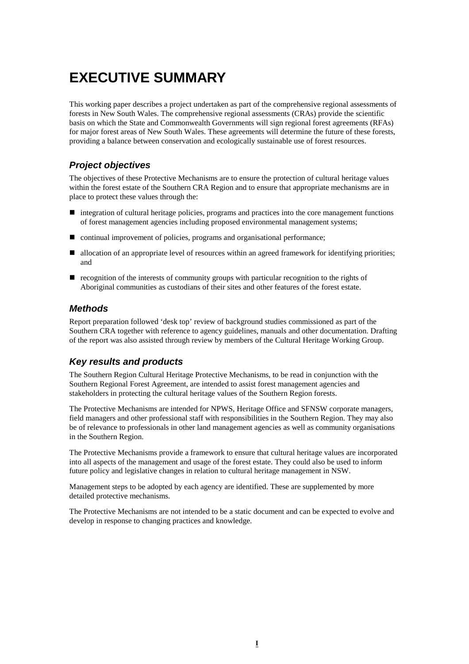# **EXECUTIVE SUMMARY**

This working paper describes a project undertaken as part of the comprehensive regional assessments of forests in New South Wales. The comprehensive regional assessments (CRAs) provide the scientific basis on which the State and Commonwealth Governments will sign regional forest agreements (RFAs) for major forest areas of New South Wales. These agreements will determine the future of these forests, providing a balance between conservation and ecologically sustainable use of forest resources.

#### *Project objectives*

The objectives of these Protective Mechanisms are to ensure the protection of cultural heritage values within the forest estate of the Southern CRA Region and to ensure that appropriate mechanisms are in place to protect these values through the:

- ! integration of cultural heritage policies, programs and practices into the core management functions of forest management agencies including proposed environmental management systems;
- continual improvement of policies, programs and organisational performance;
- allocation of an appropriate level of resources within an agreed framework for identifying priorities; and
- ! recognition of the interests of community groups with particular recognition to the rights of Aboriginal communities as custodians of their sites and other features of the forest estate.

#### *Methods*

Report preparation followed 'desk top' review of background studies commissioned as part of the Southern CRA together with reference to agency guidelines, manuals and other documentation. Drafting of the report was also assisted through review by members of the Cultural Heritage Working Group.

#### *Key results and products*

The Southern Region Cultural Heritage Protective Mechanisms, to be read in conjunction with the Southern Regional Forest Agreement, are intended to assist forest management agencies and stakeholders in protecting the cultural heritage values of the Southern Region forests.

The Protective Mechanisms are intended for NPWS, Heritage Office and SFNSW corporate managers, field managers and other professional staff with responsibilities in the Southern Region. They may also be of relevance to professionals in other land management agencies as well as community organisations in the Southern Region.

The Protective Mechanisms provide a framework to ensure that cultural heritage values are incorporated into all aspects of the management and usage of the forest estate. They could also be used to inform future policy and legislative changes in relation to cultural heritage management in NSW.

Management steps to be adopted by each agency are identified. These are supplemented by more detailed protective mechanisms.

The Protective Mechanisms are not intended to be a static document and can be expected to evolve and develop in response to changing practices and knowledge.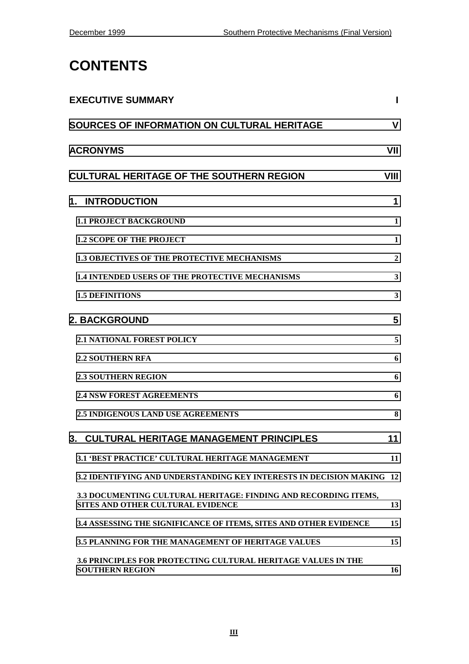# **CONTENTS**

| <b>EXECUTIVE SUMMARY</b>                                                                             |              |
|------------------------------------------------------------------------------------------------------|--------------|
| <b>SOURCES OF INFORMATION ON CULTURAL HERITAGE</b>                                                   | V            |
| <b>ACRONYMS</b>                                                                                      | VII          |
| <b>CULTURAL HERITAGE OF THE SOUTHERN REGION</b>                                                      | VIII         |
| 1. INTRODUCTION                                                                                      | 1            |
| <b>1.1 PROJECT BACKGROUND</b>                                                                        | 1            |
| <b>1.2 SCOPE OF THE PROJECT</b>                                                                      | $\mathbf{1}$ |
| <b>1.3 OBJECTIVES OF THE PROTECTIVE MECHANISMS</b>                                                   | $\mathbf{2}$ |
| <b>1.4 INTENDED USERS OF THE PROTECTIVE MECHANISMS</b>                                               | 3            |
| <b>1.5 DEFINITIONS</b>                                                                               | 3            |
| <b>2. BACKGROUND</b>                                                                                 | 5            |
| <b>2.1 NATIONAL FOREST POLICY</b>                                                                    | 5            |
| <b>2.2 SOUTHERN RFA</b>                                                                              | 6            |
| <b>2.3 SOUTHERN REGION</b>                                                                           | 6            |
| <b>2.4 NSW FOREST AGREEMENTS</b>                                                                     | 6            |
| <b>2.5 INDIGENOUS LAND USE AGREEMENTS</b>                                                            | 8            |
| 3. CULTURAL HERITAGE MANAGEMENT PRINCIPLES                                                           | 11           |
| <b>3.1 'BEST PRACTICE' CULTURAL HERITAGE MANAGEMENT</b>                                              | 11           |
| 3.2 IDENTIFYING AND UNDERSTANDING KEY INTERESTS IN DECISION MAKING 12                                |              |
| 3.3 DOCUMENTING CULTURAL HERITAGE: FINDING AND RECORDING ITEMS,<br>SITES AND OTHER CULTURAL EVIDENCE | 13           |
| 3.4 ASSESSING THE SIGNIFICANCE OF ITEMS, SITES AND OTHER EVIDENCE                                    | 15           |
| <b>3.5 PLANNING FOR THE MANAGEMENT OF HERITAGE VALUES</b>                                            | 15           |
| <b>3.6 PRINCIPLES FOR PROTECTING CULTURAL HERITAGE VALUES IN THE</b><br><b>SOUTHERN REGION</b>       | 16           |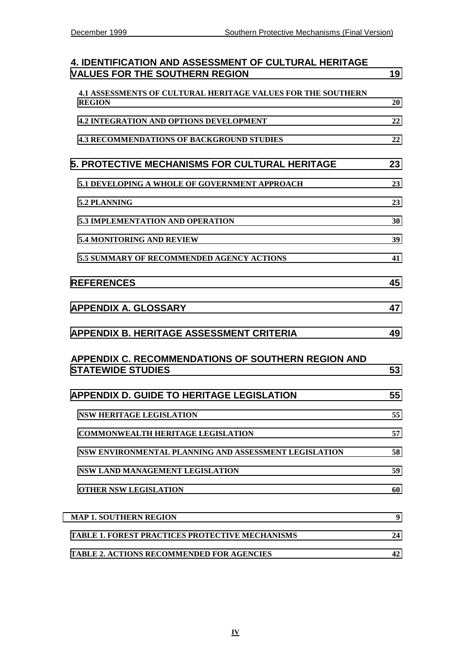| <b>4. IDENTIFICATION AND ASSESSMENT OF CULTURAL HERITAGE</b><br><b>VALUES FOR THE SOUTHERN REGION</b> | 19 |
|-------------------------------------------------------------------------------------------------------|----|
| <b>4.1 ASSESSMENTS OF CULTURAL HERITAGE VALUES FOR THE SOUTHERN</b><br><b>REGION</b>                  | 20 |
| <b>4.2 INTEGRATION AND OPTIONS DEVELOPMENT</b>                                                        | 22 |
| <b>4.3 RECOMMENDATIONS OF BACKGROUND STUDIES</b>                                                      | 22 |
| <b>5. PROTECTIVE MECHANISMS FOR CULTURAL HERITAGE</b>                                                 | 23 |
| 5.1 DEVELOPING A WHOLE OF GOVERNMENT APPROACH                                                         | 23 |
| 5.2 PLANNING                                                                                          | 23 |
| <b>5.3 IMPLEMENTATION AND OPERATION</b>                                                               | 30 |
| 5.4 MONITORING AND REVIEW                                                                             | 39 |
| <b>5.5 SUMMARY OF RECOMMENDED AGENCY ACTIONS</b>                                                      | 41 |
| <b>REFERENCES</b>                                                                                     | 45 |
| <b>APPENDIX A. GLOSSARY</b>                                                                           | 47 |
| <b>APPENDIX B. HERITAGE ASSESSMENT CRITERIA</b>                                                       | 49 |
| <b>APPENDIX C. RECOMMENDATIONS OF SOUTHERN REGION AND</b><br><b>STATEWIDE STUDIES</b>                 | 53 |
| <b>APPENDIX D. GUIDE TO HERITAGE LEGISLATION</b>                                                      | 55 |
| <b>NSW HERITAGE LEGISLATION</b>                                                                       | 55 |
| <b>COMMONWEALTH HERITAGE LEGISLATION</b>                                                              | 57 |
| NSW ENVIRONMENTAL PLANNING AND ASSESSMENT LEGISLATION                                                 | 58 |
| NSW LAND MANAGEMENT LEGISLATION                                                                       | 59 |
| <b>OTHER NSW LEGISLATION</b>                                                                          | 60 |
| <b>MAP 1. SOUTHERN REGION</b>                                                                         | 9  |
| <b>TABLE 1. FOREST PRACTICES PROTECTIVE MECHANISMS</b>                                                | 24 |
| <b>TABLE 2. ACTIONS RECOMMENDED FOR AGENCIES</b>                                                      | 42 |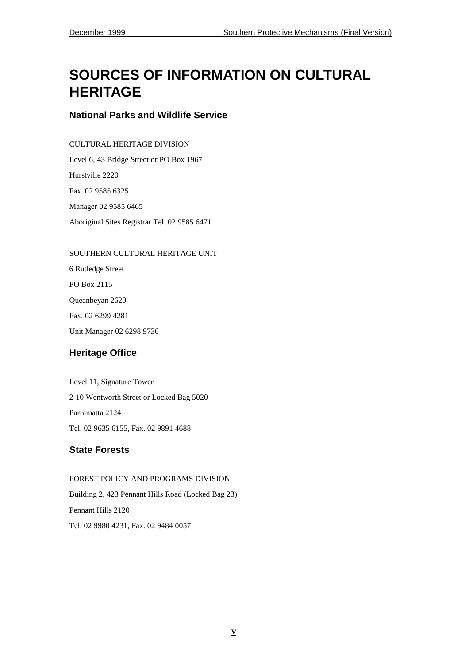# <span id="page-10-0"></span>**SOURCES OF INFORMATION ON CULTURAL HERITAGE**

#### **National Parks and Wildlife Service**

#### CULTURAL HERITAGE DIVISION

Level 6, 43 Bridge Street or PO Box 1967 Hurstville 2220 Fax. 02 9585 6325 Manager 02 9585 6465 Aboriginal Sites Registrar Tel. 02 9585 6471

#### SOUTHERN CULTURAL HERITAGE UNIT

6 Rutledge Street PO Box 2115 Queanbeyan 2620 Fax. 02 6299 4281 Unit Manager 02 6298 9736

#### **Heritage Office**

Level 11, Signature Tower 2-10 Wentworth Street or Locked Bag 5020 Parramatta 2124 Tel. 02 9635 6155, Fax. 02 9891 4688

#### **State Forests**

FOREST POLICY AND PROGRAMS DIVISION Building 2, 423 Pennant Hills Road (Locked Bag 23) Pennant Hills 2120 Tel. 02 9980 4231, Fax. 02 9484 0057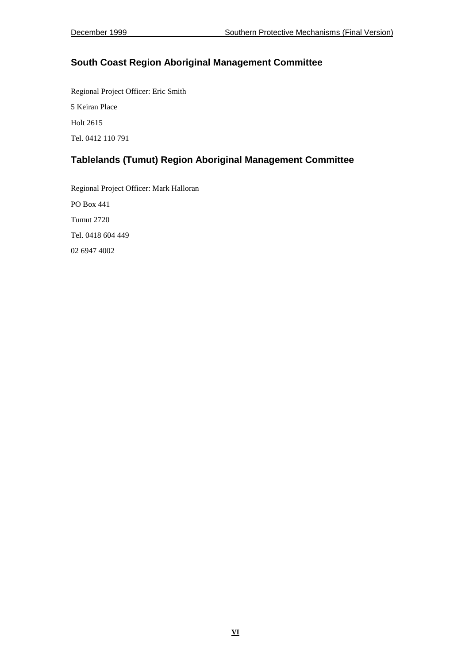#### **South Coast Region Aboriginal Management Committee**

Regional Project Officer: Eric Smith 5 Keiran Place Holt 2615 Tel. 0412 110 791

#### **Tablelands (Tumut) Region Aboriginal Management Committee**

Regional Project Officer: Mark Halloran PO Box 441 Tumut 2720 Tel. 0418 604 449 02 6947 4002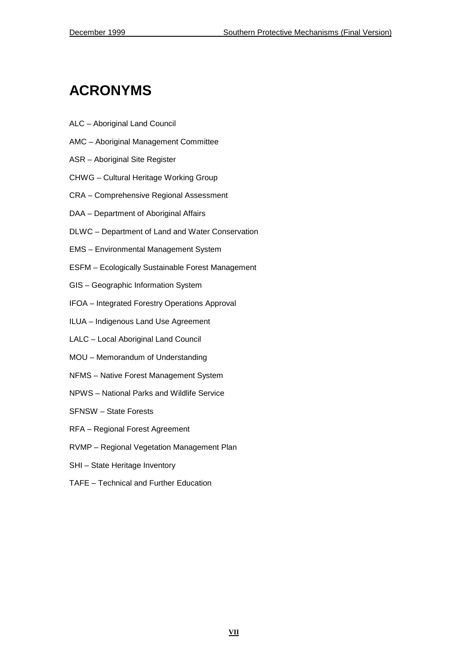# <span id="page-12-0"></span>**ACRONYMS**

- ALC Aboriginal Land Council
- AMC Aboriginal Management Committee
- ASR Aboriginal Site Register
- CHWG Cultural Heritage Working Group
- CRA Comprehensive Regional Assessment
- DAA Department of Aboriginal Affairs
- DLWC Department of Land and Water Conservation
- EMS Environmental Management System
- ESFM Ecologically Sustainable Forest Management
- GIS Geographic Information System
- IFOA Integrated Forestry Operations Approval
- ILUA Indigenous Land Use Agreement
- LALC Local Aboriginal Land Council
- MOU Memorandum of Understanding
- NFMS Native Forest Management System
- NPWS National Parks and Wildlife Service
- SFNSW State Forests
- RFA Regional Forest Agreement
- RVMP Regional Vegetation Management Plan
- SHI State Heritage Inventory
- TAFE Technical and Further Education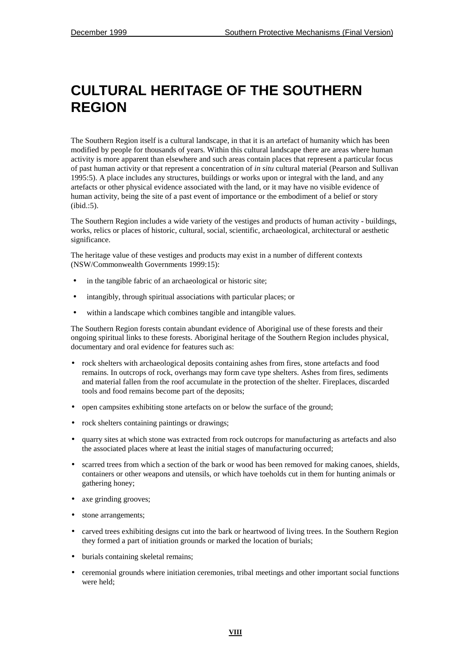# <span id="page-13-0"></span>**CULTURAL HERITAGE OF THE SOUTHERN REGION**

The Southern Region itself is a cultural landscape, in that it is an artefact of humanity which has been modified by people for thousands of years. Within this cultural landscape there are areas where human activity is more apparent than elsewhere and such areas contain places that represent a particular focus of past human activity or that represent a concentration of *in situ* cultural material (Pearson and Sullivan 1995:5). A place includes any structures, buildings or works upon or integral with the land, and any artefacts or other physical evidence associated with the land, or it may have no visible evidence of human activity, being the site of a past event of importance or the embodiment of a belief or story (ibid.:5).

The Southern Region includes a wide variety of the vestiges and products of human activity - buildings, works, relics or places of historic, cultural, social, scientific, archaeological, architectural or aesthetic significance.

The heritage value of these vestiges and products may exist in a number of different contexts (NSW/Commonwealth Governments 1999:15):

- in the tangible fabric of an archaeological or historic site;
- intangibly, through spiritual associations with particular places; or
- within a landscape which combines tangible and intangible values.

The Southern Region forests contain abundant evidence of Aboriginal use of these forests and their ongoing spiritual links to these forests. Aboriginal heritage of the Southern Region includes physical, documentary and oral evidence for features such as:

- rock shelters with archaeological deposits containing ashes from fires, stone artefacts and food remains. In outcrops of rock, overhangs may form cave type shelters. Ashes from fires, sediments and material fallen from the roof accumulate in the protection of the shelter. Fireplaces, discarded tools and food remains become part of the deposits;
- open campsites exhibiting stone artefacts on or below the surface of the ground;
- rock shelters containing paintings or drawings;
- quarry sites at which stone was extracted from rock outcrops for manufacturing as artefacts and also the associated places where at least the initial stages of manufacturing occurred;
- scarred trees from which a section of the bark or wood has been removed for making canoes, shields, containers or other weapons and utensils, or which have toeholds cut in them for hunting animals or gathering honey;
- axe grinding grooves;
- stone arrangements;
- carved trees exhibiting designs cut into the bark or heartwood of living trees. In the Southern Region they formed a part of initiation grounds or marked the location of burials;
- burials containing skeletal remains;
- ceremonial grounds where initiation ceremonies, tribal meetings and other important social functions were held;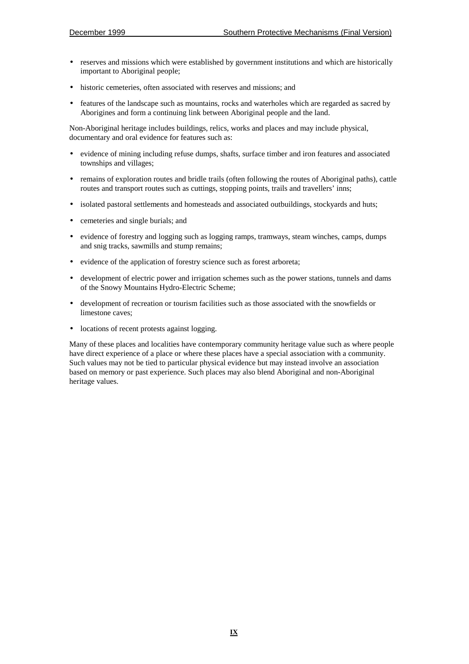- reserves and missions which were established by government institutions and which are historically important to Aboriginal people;
- historic cemeteries, often associated with reserves and missions; and
- features of the landscape such as mountains, rocks and waterholes which are regarded as sacred by Aborigines and form a continuing link between Aboriginal people and the land.

Non-Aboriginal heritage includes buildings, relics, works and places and may include physical, documentary and oral evidence for features such as:

- evidence of mining including refuse dumps, shafts, surface timber and iron features and associated townships and villages;
- remains of exploration routes and bridle trails (often following the routes of Aboriginal paths), cattle routes and transport routes such as cuttings, stopping points, trails and travellers' inns;
- isolated pastoral settlements and homesteads and associated outbuildings, stockyards and huts;
- cemeteries and single burials; and
- evidence of forestry and logging such as logging ramps, tramways, steam winches, camps, dumps and snig tracks, sawmills and stump remains;
- evidence of the application of forestry science such as forest arboreta;
- development of electric power and irrigation schemes such as the power stations, tunnels and dams of the Snowy Mountains Hydro-Electric Scheme;
- development of recreation or tourism facilities such as those associated with the snowfields or limestone caves;
- locations of recent protests against logging.

Many of these places and localities have contemporary community heritage value such as where people have direct experience of a place or where these places have a special association with a community. Such values may not be tied to particular physical evidence but may instead involve an association based on memory or past experience. Such places may also blend Aboriginal and non-Aboriginal heritage values.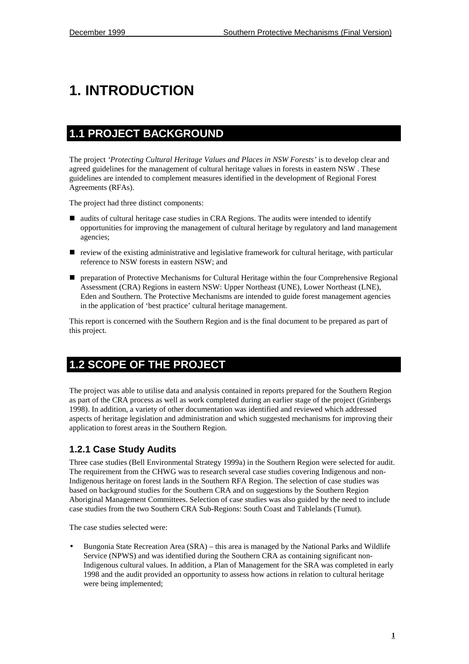# <span id="page-16-0"></span>**1. INTRODUCTION**

## **1.1 PROJECT BACKGROUND**

The project *'Protecting Cultural Heritage Values and Places in NSW Forests'* is to develop clear and agreed guidelines for the management of cultural heritage values in forests in eastern NSW . These guidelines are intended to complement measures identified in the development of Regional Forest Agreements (RFAs).

The project had three distinct components:

- audits of cultural heritage case studies in CRA Regions. The audits were intended to identify opportunities for improving the management of cultural heritage by regulatory and land management agencies;
- ! review of the existing administrative and legislative framework for cultural heritage, with particular reference to NSW forests in eastern NSW; and
- ! preparation of Protective Mechanisms for Cultural Heritage within the four Comprehensive Regional Assessment (CRA) Regions in eastern NSW: Upper Northeast (UNE), Lower Northeast (LNE), Eden and Southern. The Protective Mechanisms are intended to guide forest management agencies in the application of 'best practice' cultural heritage management.

This report is concerned with the Southern Region and is the final document to be prepared as part of this project.

# **1.2 SCOPE OF THE PROJECT**

The project was able to utilise data and analysis contained in reports prepared for the Southern Region as part of the CRA process as well as work completed during an earlier stage of the project (Grinbergs 1998). In addition, a variety of other documentation was identified and reviewed which addressed aspects of heritage legislation and administration and which suggested mechanisms for improving their application to forest areas in the Southern Region.

#### **1.2.1 Case Study Audits**

Three case studies (Bell Environmental Strategy 1999a) in the Southern Region were selected for audit. The requirement from the CHWG was to research several case studies covering Indigenous and non-Indigenous heritage on forest lands in the Southern RFA Region. The selection of case studies was based on background studies for the Southern CRA and on suggestions by the Southern Region Aboriginal Management Committees. Selection of case studies was also guided by the need to include case studies from the two Southern CRA Sub-Regions: South Coast and Tablelands (Tumut).

The case studies selected were:

• Bungonia State Recreation Area (SRA) – this area is managed by the National Parks and Wildlife Service (NPWS) and was identified during the Southern CRA as containing significant non-Indigenous cultural values. In addition, a Plan of Management for the SRA was completed in early 1998 and the audit provided an opportunity to assess how actions in relation to cultural heritage were being implemented;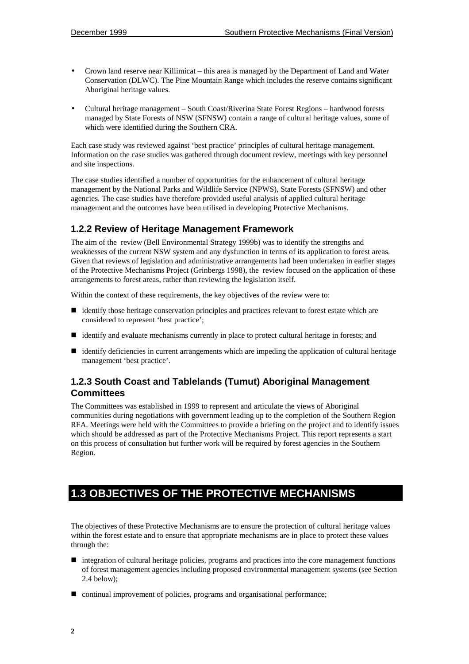- <span id="page-17-0"></span>• Crown land reserve near Killimicat – this area is managed by the Department of Land and Water Conservation (DLWC). The Pine Mountain Range which includes the reserve contains significant Aboriginal heritage values.
- Cultural heritage management South Coast/Riverina State Forest Regions hardwood forests managed by State Forests of NSW (SFNSW) contain a range of cultural heritage values, some of which were identified during the Southern CRA.

Each case study was reviewed against 'best practice' principles of cultural heritage management. Information on the case studies was gathered through document review, meetings with key personnel and site inspections.

The case studies identified a number of opportunities for the enhancement of cultural heritage management by the National Parks and Wildlife Service (NPWS), State Forests (SFNSW) and other agencies. The case studies have therefore provided useful analysis of applied cultural heritage management and the outcomes have been utilised in developing Protective Mechanisms.

#### **1.2.2 Review of Heritage Management Framework**

The aim of the review (Bell Environmental Strategy 1999b) was to identify the strengths and weaknesses of the current NSW system and any dysfunction in terms of its application to forest areas. Given that reviews of legislation and administrative arrangements had been undertaken in earlier stages of the Protective Mechanisms Project (Grinbergs 1998), the review focused on the application of these arrangements to forest areas, rather than reviewing the legislation itself.

Within the context of these requirements, the key objectives of the review were to:

- ! identify those heritage conservation principles and practices relevant to forest estate which are considered to represent 'best practice';
- ! identify and evaluate mechanisms currently in place to protect cultural heritage in forests; and
- ! identify deficiencies in current arrangements which are impeding the application of cultural heritage management 'best practice'.

#### **1.2.3 South Coast and Tablelands (Tumut) Aboriginal Management Committees**

The Committees was established in 1999 to represent and articulate the views of Aboriginal communities during negotiations with government leading up to the completion of the Southern Region RFA. Meetings were held with the Committees to provide a briefing on the project and to identify issues which should be addressed as part of the Protective Mechanisms Project. This report represents a start on this process of consultation but further work will be required by forest agencies in the Southern Region.

# **1.3 OBJECTIVES OF THE PROTECTIVE MECHANISMS**

The objectives of these Protective Mechanisms are to ensure the protection of cultural heritage values within the forest estate and to ensure that appropriate mechanisms are in place to protect these values through the:

- $\blacksquare$  integration of cultural heritage policies, programs and practices into the core management functions of forest management agencies including proposed environmental management systems (see Section 2.4 below);
- continual improvement of policies, programs and organisational performance;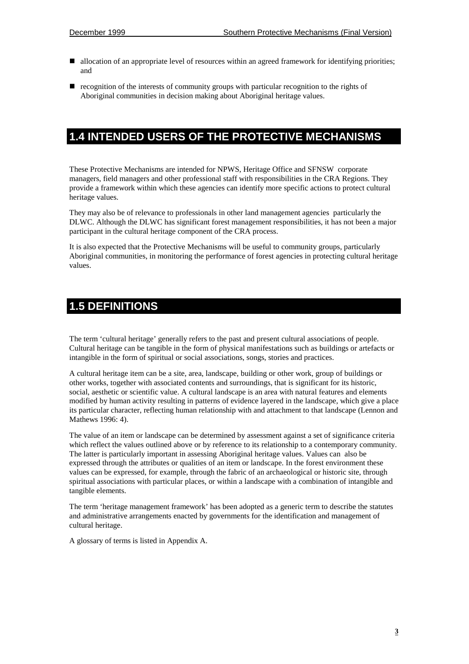- <span id="page-18-0"></span>■ allocation of an appropriate level of resources within an agreed framework for identifying priorities; and
- ! recognition of the interests of community groups with particular recognition to the rights of Aboriginal communities in decision making about Aboriginal heritage values.

### **1.4 INTENDED USERS OF THE PROTECTIVE MECHANISMS**

These Protective Mechanisms are intended for NPWS, Heritage Office and SFNSW corporate managers, field managers and other professional staff with responsibilities in the CRA Regions. They provide a framework within which these agencies can identify more specific actions to protect cultural heritage values.

They may also be of relevance to professionals in other land management agencies particularly the DLWC. Although the DLWC has significant forest management responsibilities, it has not been a major participant in the cultural heritage component of the CRA process.

It is also expected that the Protective Mechanisms will be useful to community groups, particularly Aboriginal communities, in monitoring the performance of forest agencies in protecting cultural heritage values.

### **1.5 DEFINITIONS**

The term 'cultural heritage' generally refers to the past and present cultural associations of people. Cultural heritage can be tangible in the form of physical manifestations such as buildings or artefacts or intangible in the form of spiritual or social associations, songs, stories and practices.

A cultural heritage item can be a site, area, landscape, building or other work, group of buildings or other works, together with associated contents and surroundings, that is significant for its historic, social, aesthetic or scientific value. A cultural landscape is an area with natural features and elements modified by human activity resulting in patterns of evidence layered in the landscape, which give a place its particular character, reflecting human relationship with and attachment to that landscape (Lennon and Mathews 1996: 4).

The value of an item or landscape can be determined by assessment against a set of significance criteria which reflect the values outlined above or by reference to its relationship to a contemporary community. The latter is particularly important in assessing Aboriginal heritage values. Values can also be expressed through the attributes or qualities of an item or landscape. In the forest environment these values can be expressed, for example, through the fabric of an archaeological or historic site, through spiritual associations with particular places, or within a landscape with a combination of intangible and tangible elements.

The term 'heritage management framework' has been adopted as a generic term to describe the statutes and administrative arrangements enacted by governments for the identification and management of cultural heritage.

A glossary of terms is listed in Appendix A.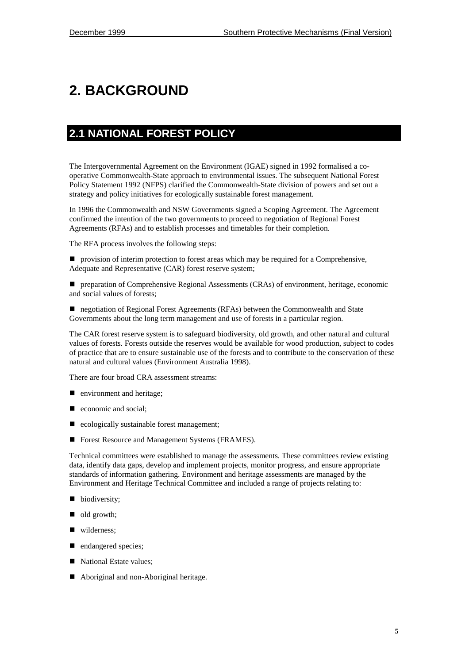# <span id="page-20-0"></span>**2. BACKGROUND**

## **2.1 NATIONAL FOREST POLICY**

The Intergovernmental Agreement on the Environment (IGAE) signed in 1992 formalised a cooperative Commonwealth-State approach to environmental issues. The subsequent National Forest Policy Statement 1992 (NFPS) clarified the Commonwealth-State division of powers and set out a strategy and policy initiatives for ecologically sustainable forest management.

In 1996 the Commonwealth and NSW Governments signed a Scoping Agreement. The Agreement confirmed the intention of the two governments to proceed to negotiation of Regional Forest Agreements (RFAs) and to establish processes and timetables for their completion.

The RFA process involves the following steps:

! provision of interim protection to forest areas which may be required for a Comprehensive, Adequate and Representative (CAR) forest reserve system;

! preparation of Comprehensive Regional Assessments (CRAs) of environment, heritage, economic and social values of forests;

! negotiation of Regional Forest Agreements (RFAs) between the Commonwealth and State Governments about the long term management and use of forests in a particular region.

The CAR forest reserve system is to safeguard biodiversity, old growth, and other natural and cultural values of forests. Forests outside the reserves would be available for wood production, subject to codes of practice that are to ensure sustainable use of the forests and to contribute to the conservation of these natural and cultural values (Environment Australia 1998).

There are four broad CRA assessment streams:

- $\blacksquare$  environment and heritage;
- $\blacksquare$  economic and social;
- ecologically sustainable forest management;
- Forest Resource and Management Systems (FRAMES).

Technical committees were established to manage the assessments. These committees review existing data, identify data gaps, develop and implement projects, monitor progress, and ensure appropriate standards of information gathering. Environment and heritage assessments are managed by the Environment and Heritage Technical Committee and included a range of projects relating to:

- **D** biodiversity;
- lold growth;
- wilderness;
- **n** endangered species;
- National Estate values;
- Aboriginal and non-Aboriginal heritage.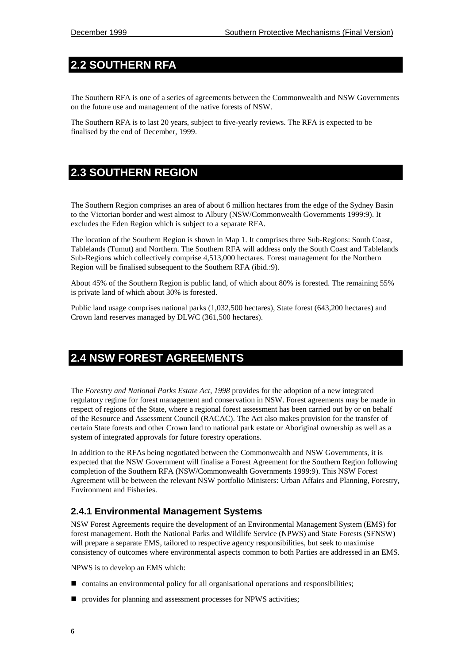# <span id="page-21-0"></span>**2.2 SOUTHERN RFA**

The Southern RFA is one of a series of agreements between the Commonwealth and NSW Governments on the future use and management of the native forests of NSW.

The Southern RFA is to last 20 years, subject to five-yearly reviews. The RFA is expected to be finalised by the end of December, 1999.

### **2.3 SOUTHERN REGION**

The Southern Region comprises an area of about 6 million hectares from the edge of the Sydney Basin to the Victorian border and west almost to Albury (NSW/Commonwealth Governments 1999:9). It excludes the Eden Region which is subject to a separate RFA.

The location of the Southern Region is shown in Map 1. It comprises three Sub-Regions: South Coast, Tablelands (Tumut) and Northern. The Southern RFA will address only the South Coast and Tablelands Sub-Regions which collectively comprise 4,513,000 hectares. Forest management for the Northern Region will be finalised subsequent to the Southern RFA (ibid.:9).

About 45% of the Southern Region is public land, of which about 80% is forested. The remaining 55% is private land of which about 30% is forested.

Public land usage comprises national parks (1,032,500 hectares), State forest (643,200 hectares) and Crown land reserves managed by DLWC (361,500 hectares).

## **2.4 NSW FOREST AGREEMENTS**

The *Forestry and National Parks Estate Act, 1998* provides for the adoption of a new integrated regulatory regime for forest management and conservation in NSW. Forest agreements may be made in respect of regions of the State, where a regional forest assessment has been carried out by or on behalf of the Resource and Assessment Council (RACAC). The Act also makes provision for the transfer of certain State forests and other Crown land to national park estate or Aboriginal ownership as well as a system of integrated approvals for future forestry operations.

In addition to the RFAs being negotiated between the Commonwealth and NSW Governments, it is expected that the NSW Government will finalise a Forest Agreement for the Southern Region following completion of the Southern RFA (NSW/Commonwealth Governments 1999:9). This NSW Forest Agreement will be between the relevant NSW portfolio Ministers: Urban Affairs and Planning, Forestry, Environment and Fisheries.

#### **2.4.1 Environmental Management Systems**

NSW Forest Agreements require the development of an Environmental Management System (EMS) for forest management. Both the National Parks and Wildlife Service (NPWS) and State Forests (SFNSW) will prepare a separate EMS, tailored to respective agency responsibilities, but seek to maximise consistency of outcomes where environmental aspects common to both Parties are addressed in an EMS.

NPWS is to develop an EMS which:

- $\Box$  contains an environmental policy for all organisational operations and responsibilities;
- provides for planning and assessment processes for NPWS activities;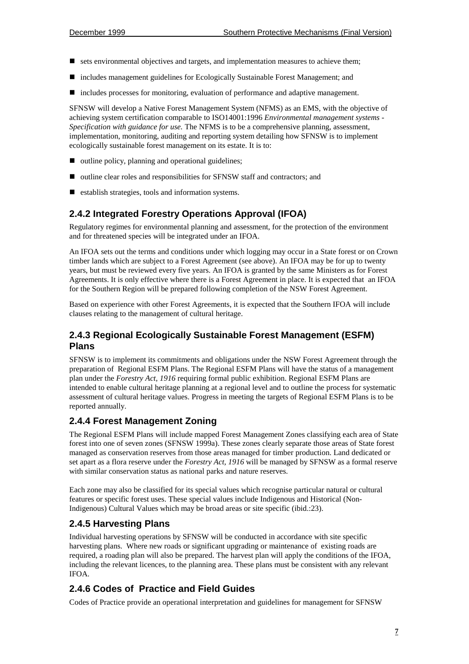- $\blacksquare$  sets environmental objectives and targets, and implementation measures to achieve them;
- ! includes management guidelines for Ecologically Sustainable Forest Management; and
- includes processes for monitoring, evaluation of performance and adaptive management.

SFNSW will develop a Native Forest Management System (NFMS) as an EMS, with the objective of achieving system certification comparable to ISO14001:1996 *Environmental management systems - Specification with guidance for use.* The NFMS is to be a comprehensive planning, assessment, implementation, monitoring, auditing and reporting system detailing how SFNSW is to implement ecologically sustainable forest management on its estate. It is to:

- $\Box$  outline policy, planning and operational guidelines;
- ! outline clear roles and responsibilities for SFNSW staff and contractors; and
- establish strategies, tools and information systems.

#### **2.4.2 Integrated Forestry Operations Approval (IFOA)**

Regulatory regimes for environmental planning and assessment, for the protection of the environment and for threatened species will be integrated under an IFOA.

An IFOA sets out the terms and conditions under which logging may occur in a State forest or on Crown timber lands which are subject to a Forest Agreement (see above). An IFOA may be for up to twenty years, but must be reviewed every five years. An IFOA is granted by the same Ministers as for Forest Agreements. It is only effective where there is a Forest Agreement in place. It is expected that an IFOA for the Southern Region will be prepared following completion of the NSW Forest Agreement.

Based on experience with other Forest Agreements, it is expected that the Southern IFOA will include clauses relating to the management of cultural heritage.

#### **2.4.3 Regional Ecologically Sustainable Forest Management (ESFM) Plans**

SFNSW is to implement its commitments and obligations under the NSW Forest Agreement through the preparation of Regional ESFM Plans. The Regional ESFM Plans will have the status of a management plan under the *Forestry Act, 1916* requiring formal public exhibition. Regional ESFM Plans are intended to enable cultural heritage planning at a regional level and to outline the process for systematic assessment of cultural heritage values. Progress in meeting the targets of Regional ESFM Plans is to be reported annually.

#### **2.4.4 Forest Management Zoning**

The Regional ESFM Plans will include mapped Forest Management Zones classifying each area of State forest into one of seven zones (SFNSW 1999a). These zones clearly separate those areas of State forest managed as conservation reserves from those areas managed for timber production. Land dedicated or set apart as a flora reserve under the *Forestry Act, 1916* will be managed by SFNSW as a formal reserve with similar conservation status as national parks and nature reserves.

Each zone may also be classified for its special values which recognise particular natural or cultural features or specific forest uses. These special values include Indigenous and Historical (Non-Indigenous) Cultural Values which may be broad areas or site specific (ibid.:23).

#### **2.4.5 Harvesting Plans**

Individual harvesting operations by SFNSW will be conducted in accordance with site specific harvesting plans. Where new roads or significant upgrading or maintenance of existing roads are required, a roading plan will also be prepared. The harvest plan will apply the conditions of the IFOA, including the relevant licences, to the planning area. These plans must be consistent with any relevant IFOA.

#### **2.4.6 Codes of Practice and Field Guides**

Codes of Practice provide an operational interpretation and guidelines for management for SFNSW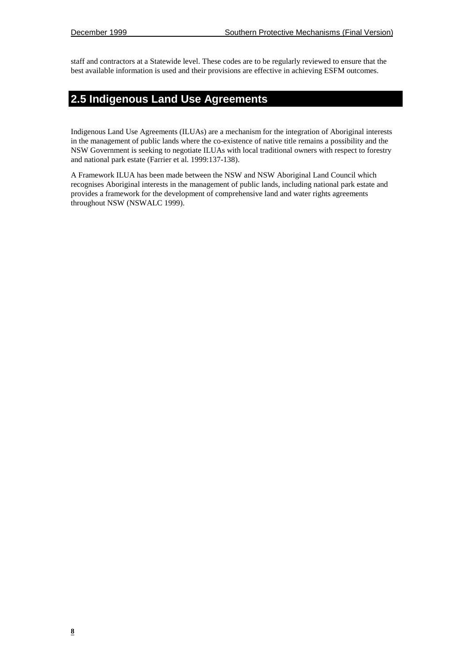<span id="page-23-0"></span>staff and contractors at a Statewide level. These codes are to be regularly reviewed to ensure that the best available information is used and their provisions are effective in achieving ESFM outcomes.

### **2.5 Indigenous Land Use Agreements**

Indigenous Land Use Agreements (ILUAs) are a mechanism for the integration of Aboriginal interests in the management of public lands where the co-existence of native title remains a possibility and the NSW Government is seeking to negotiate ILUAs with local traditional owners with respect to forestry and national park estate (Farrier et al. 1999:137-138).

A Framework ILUA has been made between the NSW and NSW Aboriginal Land Council which recognises Aboriginal interests in the management of public lands, including national park estate and provides a framework for the development of comprehensive land and water rights agreements throughout NSW (NSWALC 1999).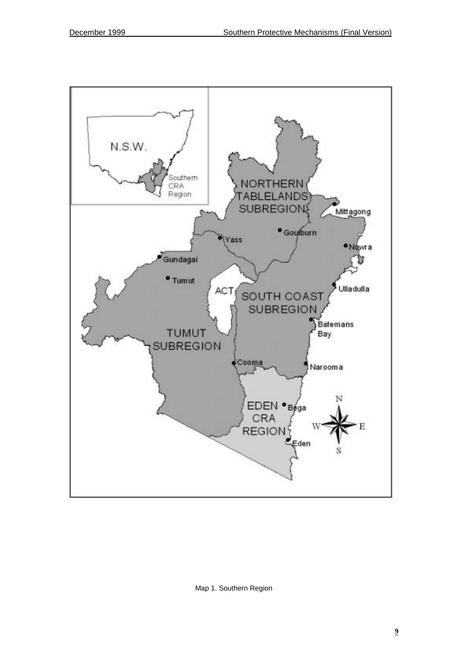<span id="page-24-0"></span>

Map 1. Southern Region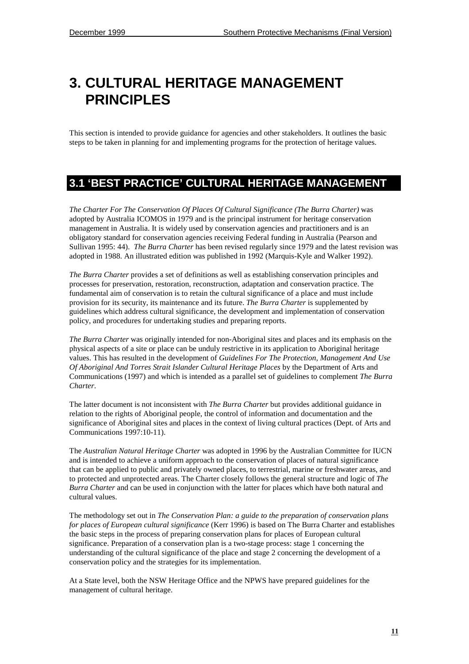# <span id="page-26-0"></span>**3. CULTURAL HERITAGE MANAGEMENT PRINCIPLES**

This section is intended to provide guidance for agencies and other stakeholders. It outlines the basic steps to be taken in planning for and implementing programs for the protection of heritage values.

### **3.1 'BEST PRACTICE' CULTURAL HERITAGE MANAGEMENT**

*The Charter For The Conservation Of Places Of Cultural Significance (The Burra Charter)* was adopted by Australia ICOMOS in 1979 and is the principal instrument for heritage conservation management in Australia. It is widely used by conservation agencies and practitioners and is an obligatory standard for conservation agencies receiving Federal funding in Australia (Pearson and Sullivan 1995: 44). *The Burra Charter* has been revised regularly since 1979 and the latest revision was adopted in 1988. An illustrated edition was published in 1992 (Marquis-Kyle and Walker 1992).

*The Burra Charter* provides a set of definitions as well as establishing conservation principles and processes for preservation, restoration, reconstruction, adaptation and conservation practice. The fundamental aim of conservation is to retain the cultural significance of a place and must include provision for its security, its maintenance and its future. *The Burra Charter* is supplemented by guidelines which address cultural significance, the development and implementation of conservation policy, and procedures for undertaking studies and preparing reports.

*The Burra Charter* was originally intended for non-Aboriginal sites and places and its emphasis on the physical aspects of a site or place can be unduly restrictive in its application to Aboriginal heritage values. This has resulted in the development of *Guidelines For The Protection, Management And Use Of Aboriginal And Torres Strait Islander Cultural Heritage Places* by the Department of Arts and Communications (1997) and which is intended as a parallel set of guidelines to complement *The Burra Charter*.

The latter document is not inconsistent with *The Burra Charter* but provides additional guidance in relation to the rights of Aboriginal people, the control of information and documentation and the significance of Aboriginal sites and places in the context of living cultural practices (Dept. of Arts and Communications 1997:10-11).

The *Australian Natural Heritage Charter* was adopted in 1996 by the Australian Committee for IUCN and is intended to achieve a uniform approach to the conservation of places of natural significance that can be applied to public and privately owned places, to terrestrial, marine or freshwater areas, and to protected and unprotected areas. The Charter closely follows the general structure and logic of *The Burra Charter* and can be used in conjunction with the latter for places which have both natural and cultural values.

The methodology set out in *The Conservation Plan: a guide to the preparation of conservation plans for places of European cultural significance* (Kerr 1996) is based on The Burra Charter and establishes the basic steps in the process of preparing conservation plans for places of European cultural significance. Preparation of a conservation plan is a two-stage process: stage 1 concerning the understanding of the cultural significance of the place and stage 2 concerning the development of a conservation policy and the strategies for its implementation.

At a State level, both the NSW Heritage Office and the NPWS have prepared guidelines for the management of cultural heritage.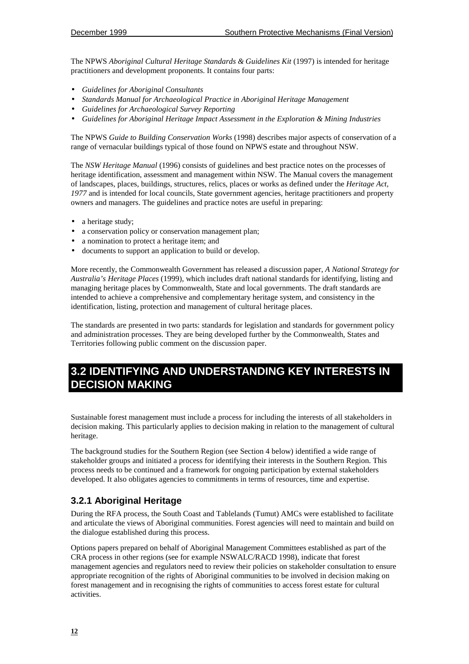<span id="page-27-0"></span>The NPWS *Aboriginal Cultural Heritage Standards & Guidelines Kit* (1997) is intended for heritage practitioners and development proponents. It contains four parts:

- *Guidelines for Aboriginal Consultants*
- *Standards Manual for Archaeological Practice in Aboriginal Heritage Management*
- *Guidelines for Archaeological Survey Reporting*
- *Guidelines for Aboriginal Heritage Impact Assessment in the Exploration & Mining Industries*

The NPWS *Guide to Building Conservation Works* (1998) describes major aspects of conservation of a range of vernacular buildings typical of those found on NPWS estate and throughout NSW.

The *NSW Heritage Manual* (1996) consists of guidelines and best practice notes on the processes of heritage identification, assessment and management within NSW. The Manual covers the management of landscapes, places, buildings, structures, relics, places or works as defined under the *Heritage Act,* 1977 and is intended for local councils, State government agencies, heritage practitioners and property owners and managers. The guidelines and practice notes are useful in preparing:

- a heritage study;
- a conservation policy or conservation management plan;
- a nomination to protect a heritage item; and
- documents to support an application to build or develop.

More recently, the Commonwealth Government has released a discussion paper, *A National Strategy for Australia's Heritage Places* (1999)*,* which includes draft national standards for identifying, listing and managing heritage places by Commonwealth, State and local governments. The draft standards are intended to achieve a comprehensive and complementary heritage system, and consistency in the identification, listing, protection and management of cultural heritage places.

The standards are presented in two parts: standards for legislation and standards for government policy and administration processes. They are being developed further by the Commonwealth, States and Territories following public comment on the discussion paper.

### **3.2 IDENTIFYING AND UNDERSTANDING KEY INTERESTS IN DECISION MAKING**

Sustainable forest management must include a process for including the interests of all stakeholders in decision making. This particularly applies to decision making in relation to the management of cultural heritage.

The background studies for the Southern Region (see Section 4 below) identified a wide range of stakeholder groups and initiated a process for identifying their interests in the Southern Region. This process needs to be continued and a framework for ongoing participation by external stakeholders developed. It also obligates agencies to commitments in terms of resources, time and expertise.

#### **3.2.1 Aboriginal Heritage**

During the RFA process, the South Coast and Tablelands (Tumut) AMCs were established to facilitate and articulate the views of Aboriginal communities. Forest agencies will need to maintain and build on the dialogue established during this process.

Options papers prepared on behalf of Aboriginal Management Committees established as part of the CRA process in other regions (see for example NSWALC/RACD 1998), indicate that forest management agencies and regulators need to review their policies on stakeholder consultation to ensure appropriate recognition of the rights of Aboriginal communities to be involved in decision making on forest management and in recognising the rights of communities to access forest estate for cultural activities.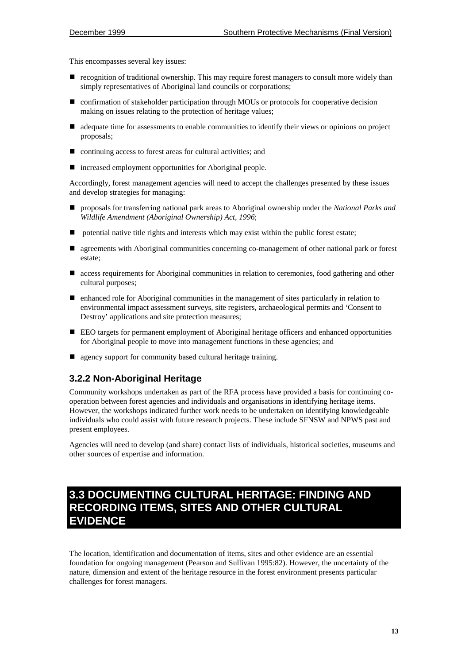<span id="page-28-0"></span>This encompasses several key issues:

- $\blacksquare$  recognition of traditional ownership. This may require forest managers to consult more widely than simply representatives of Aboriginal land councils or corporations;
- confirmation of stakeholder participation through MOUs or protocols for cooperative decision making on issues relating to the protection of heritage values;
- ! adequate time for assessments to enable communities to identify their views or opinions on project proposals;
- continuing access to forest areas for cultural activities; and
- ! increased employment opportunities for Aboriginal people.

Accordingly, forest management agencies will need to accept the challenges presented by these issues and develop strategies for managing:

- ! proposals for transferring national park areas to Aboriginal ownership under the *National Parks and Wildlife Amendment (Aboriginal Ownership) Act, 1996*;
- ! potential native title rights and interests which may exist within the public forest estate;
- ! agreements with Aboriginal communities concerning co-management of other national park or forest estate;
- access requirements for Aboriginal communities in relation to ceremonies, food gathering and other cultural purposes;
- ! enhanced role for Aboriginal communities in the management of sites particularly in relation to environmental impact assessment surveys, site registers, archaeological permits and 'Consent to Destroy' applications and site protection measures;
- EEO targets for permanent employment of Aboriginal heritage officers and enhanced opportunities for Aboriginal people to move into management functions in these agencies; and
- agency support for community based cultural heritage training.

#### **3.2.2 Non-Aboriginal Heritage**

Community workshops undertaken as part of the RFA process have provided a basis for continuing cooperation between forest agencies and individuals and organisations in identifying heritage items. However, the workshops indicated further work needs to be undertaken on identifying knowledgeable individuals who could assist with future research projects. These include SFNSW and NPWS past and present employees.

Agencies will need to develop (and share) contact lists of individuals, historical societies, museums and other sources of expertise and information.

### **3.3 DOCUMENTING CULTURAL HERITAGE: FINDING AND RECORDING ITEMS, SITES AND OTHER CULTURAL EVIDENCE**

The location, identification and documentation of items, sites and other evidence are an essential foundation for ongoing management (Pearson and Sullivan 1995:82). However, the uncertainty of the nature, dimension and extent of the heritage resource in the forest environment presents particular challenges for forest managers.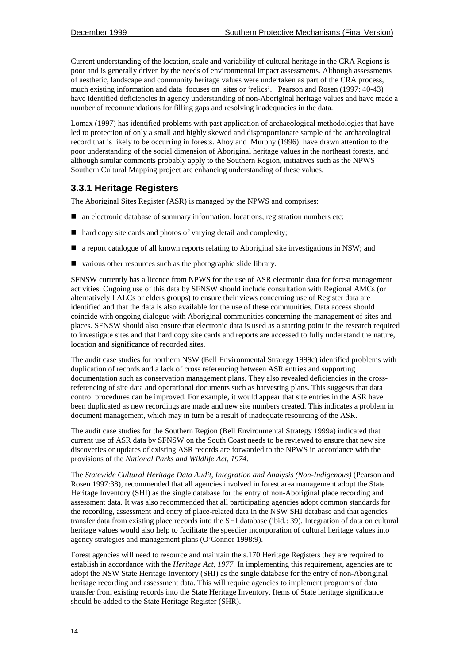Current understanding of the location, scale and variability of cultural heritage in the CRA Regions is poor and is generally driven by the needs of environmental impact assessments. Although assessments of aesthetic, landscape and community heritage values were undertaken as part of the CRA process, much existing information and data focuses on sites or 'relics'. Pearson and Rosen (1997: 40-43) have identified deficiencies in agency understanding of non-Aboriginal heritage values and have made a number of recommendations for filling gaps and resolving inadequacies in the data.

Lomax (1997) has identified problems with past application of archaeological methodologies that have led to protection of only a small and highly skewed and disproportionate sample of the archaeological record that is likely to be occurring in forests. Ahoy and Murphy (1996) have drawn attention to the poor understanding of the social dimension of Aboriginal heritage values in the northeast forests, and although similar comments probably apply to the Southern Region, initiatives such as the NPWS Southern Cultural Mapping project are enhancing understanding of these values.

#### **3.3.1 Heritage Registers**

The Aboriginal Sites Register (ASR) is managed by the NPWS and comprises:

- $\blacksquare$  an electronic database of summary information, locations, registration numbers etc;
- hard copy site cards and photos of varying detail and complexity;
- $\blacksquare$  a report catalogue of all known reports relating to Aboriginal site investigations in NSW; and
- ! various other resources such as the photographic slide library.

SFNSW currently has a licence from NPWS for the use of ASR electronic data for forest management activities. Ongoing use of this data by SFNSW should include consultation with Regional AMCs (or alternatively LALCs or elders groups) to ensure their views concerning use of Register data are identified and that the data is also available for the use of these communities. Data access should coincide with ongoing dialogue with Aboriginal communities concerning the management of sites and places. SFNSW should also ensure that electronic data is used as a starting point in the research required to investigate sites and that hard copy site cards and reports are accessed to fully understand the nature, location and significance of recorded sites.

The audit case studies for northern NSW (Bell Environmental Strategy 1999c) identified problems with duplication of records and a lack of cross referencing between ASR entries and supporting documentation such as conservation management plans. They also revealed deficiencies in the crossreferencing of site data and operational documents such as harvesting plans. This suggests that data control procedures can be improved. For example, it would appear that site entries in the ASR have been duplicated as new recordings are made and new site numbers created. This indicates a problem in document management, which may in turn be a result of inadequate resourcing of the ASR.

The audit case studies for the Southern Region (Bell Environmental Strategy 1999a) indicated that current use of ASR data by SFNSW on the South Coast needs to be reviewed to ensure that new site discoveries or updates of existing ASR records are forwarded to the NPWS in accordance with the provisions of the *National Parks and Wildlife Act, 1974*.

The *Statewide Cultural Heritage Data Audit, Integration and Analysis (Non-Indigenous)* (Pearson and Rosen 1997:38), recommended that all agencies involved in forest area management adopt the State Heritage Inventory (SHI) as the single database for the entry of non-Aboriginal place recording and assessment data. It was also recommended that all participating agencies adopt common standards for the recording, assessment and entry of place-related data in the NSW SHI database and that agencies transfer data from existing place records into the SHI database (ibid.: 39). Integration of data on cultural heritage values would also help to facilitate the speedier incorporation of cultural heritage values into agency strategies and management plans (O'Connor 1998:9).

Forest agencies will need to resource and maintain the s.170 Heritage Registers they are required to establish in accordance with the *Heritage Act, 1977.* In implementing this requirement, agencies are to adopt the NSW State Heritage Inventory (SHI) as the single database for the entry of non-Aboriginal heritage recording and assessment data. This will require agencies to implement programs of data transfer from existing records into the State Heritage Inventory. Items of State heritage significance should be added to the State Heritage Register (SHR).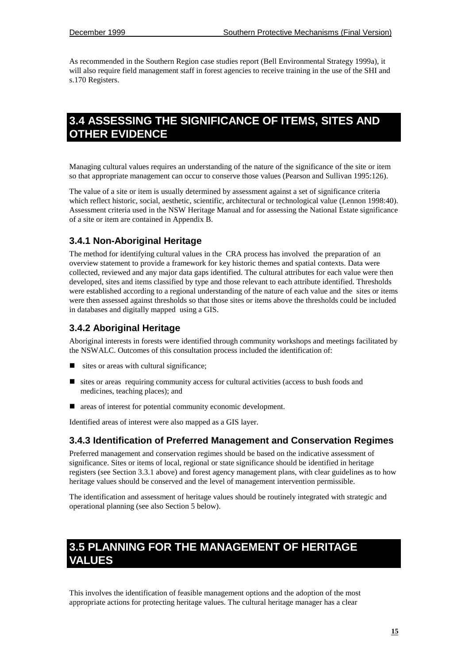<span id="page-30-0"></span>As recommended in the Southern Region case studies report (Bell Environmental Strategy 1999a), it will also require field management staff in forest agencies to receive training in the use of the SHI and s.170 Registers.

### **3.4 ASSESSING THE SIGNIFICANCE OF ITEMS, SITES AND OTHER EVIDENCE**

Managing cultural values requires an understanding of the nature of the significance of the site or item so that appropriate management can occur to conserve those values (Pearson and Sullivan 1995:126).

The value of a site or item is usually determined by assessment against a set of significance criteria which reflect historic, social, aesthetic, scientific, architectural or technological value (Lennon 1998:40). Assessment criteria used in the NSW Heritage Manual and for assessing the National Estate significance of a site or item are contained in Appendix B.

#### **3.4.1 Non-Aboriginal Heritage**

The method for identifying cultural values in the CRA process has involved the preparation of an overview statement to provide a framework for key historic themes and spatial contexts. Data were collected, reviewed and any major data gaps identified. The cultural attributes for each value were then developed, sites and items classified by type and those relevant to each attribute identified. Thresholds were established according to a regional understanding of the nature of each value and the sites or items were then assessed against thresholds so that those sites or items above the thresholds could be included in databases and digitally mapped using a GIS.

#### **3.4.2 Aboriginal Heritage**

Aboriginal interests in forests were identified through community workshops and meetings facilitated by the NSWALC. Outcomes of this consultation process included the identification of:

- sites or areas with cultural significance;
- $\blacksquare$  sites or areas requiring community access for cultural activities (access to bush foods and medicines, teaching places); and
- areas of interest for potential community economic development.

Identified areas of interest were also mapped as a GIS layer.

#### **3.4.3 Identification of Preferred Management and Conservation Regimes**

Preferred management and conservation regimes should be based on the indicative assessment of significance. Sites or items of local, regional or state significance should be identified in heritage registers (see Section 3.3.1 above) and forest agency management plans, with clear guidelines as to how heritage values should be conserved and the level of management intervention permissible.

The identification and assessment of heritage values should be routinely integrated with strategic and operational planning (see also Section 5 below).

### **3.5 PLANNING FOR THE MANAGEMENT OF HERITAGE VALUES**

This involves the identification of feasible management options and the adoption of the most appropriate actions for protecting heritage values. The cultural heritage manager has a clear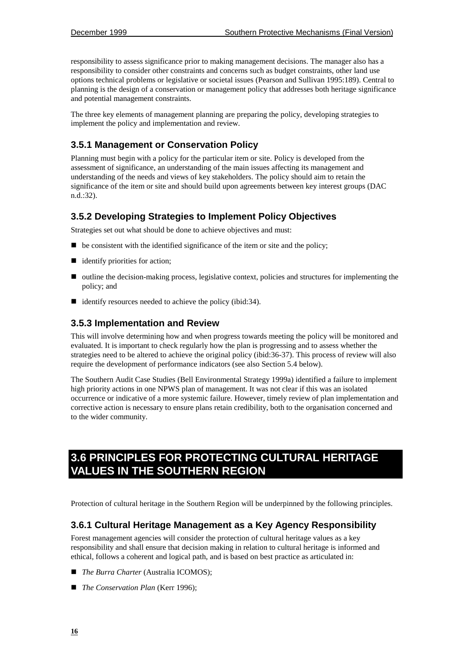<span id="page-31-0"></span>responsibility to assess significance prior to making management decisions. The manager also has a responsibility to consider other constraints and concerns such as budget constraints, other land use options technical problems or legislative or societal issues (Pearson and Sullivan 1995:189). Central to planning is the design of a conservation or management policy that addresses both heritage significance and potential management constraints.

The three key elements of management planning are preparing the policy, developing strategies to implement the policy and implementation and review.

#### **3.5.1 Management or Conservation Policy**

Planning must begin with a policy for the particular item or site. Policy is developed from the assessment of significance, an understanding of the main issues affecting its management and understanding of the needs and views of key stakeholders. The policy should aim to retain the significance of the item or site and should build upon agreements between key interest groups (DAC n.d.:32).

#### **3.5.2 Developing Strategies to Implement Policy Objectives**

Strategies set out what should be done to achieve objectives and must:

- $\blacksquare$  be consistent with the identified significance of the item or site and the policy;
- $\blacksquare$  identify priorities for action;
- ! outline the decision-making process, legislative context, policies and structures for implementing the policy; and
- identify resources needed to achieve the policy (ibid:34).

#### **3.5.3 Implementation and Review**

This will involve determining how and when progress towards meeting the policy will be monitored and evaluated. It is important to check regularly how the plan is progressing and to assess whether the strategies need to be altered to achieve the original policy (ibid:36-37). This process of review will also require the development of performance indicators (see also Section 5.4 below).

The Southern Audit Case Studies (Bell Environmental Strategy 1999a) identified a failure to implement high priority actions in one NPWS plan of management. It was not clear if this was an isolated occurrence or indicative of a more systemic failure. However, timely review of plan implementation and corrective action is necessary to ensure plans retain credibility, both to the organisation concerned and to the wider community.

# **3.6 PRINCIPLES FOR PROTECTING CULTURAL HERITAGE VALUES IN THE SOUTHERN REGION**

Protection of cultural heritage in the Southern Region will be underpinned by the following principles.

#### **3.6.1 Cultural Heritage Management as a Key Agency Responsibility**

Forest management agencies will consider the protection of cultural heritage values as a key responsibility and shall ensure that decision making in relation to cultural heritage is informed and ethical, follows a coherent and logical path, and is based on best practice as articulated in:

- *The Burra Charter* (Australia ICOMOS);
- *The Conservation Plan* (Kerr 1996);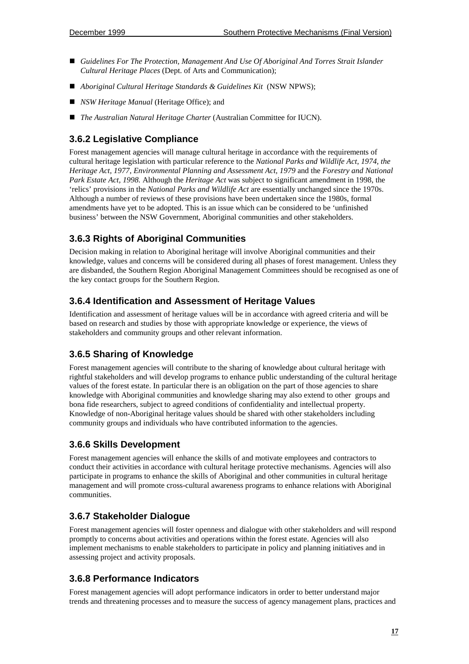- *Guidelines For The Protection, Management And Use Of Aboriginal And Torres Strait Islander Cultural Heritage Places* (Dept. of Arts and Communication);
- ! *Aboriginal Cultural Heritage Standards & Guidelines Kit* (NSW NPWS);
- *NSW Heritage Manual* (Heritage Office); and
- *The Australian Natural Heritage Charter* (Australian Committee for IUCN).

#### **3.6.2 Legislative Compliance**

Forest management agencies will manage cultural heritage in accordance with the requirements of cultural heritage legislation with particular reference to the *National Parks and Wildlife Act, 1974, the Heritage Act, 1977*, *Environmental Planning and Assessment Act, 1979* and the *Forestry and National Park Estate Act, 1998.* Although the *Heritage Act* was subject to significant amendment in 1998, the 'relics' provisions in the *National Parks and Wildlife Act* are essentially unchanged since the 1970s. Although a number of reviews of these provisions have been undertaken since the 1980s, formal amendments have yet to be adopted. This is an issue which can be considered to be 'unfinished business' between the NSW Government, Aboriginal communities and other stakeholders.

#### **3.6.3 Rights of Aboriginal Communities**

Decision making in relation to Aboriginal heritage will involve Aboriginal communities and their knowledge, values and concerns will be considered during all phases of forest management. Unless they are disbanded, the Southern Region Aboriginal Management Committees should be recognised as one of the key contact groups for the Southern Region.

#### **3.6.4 Identification and Assessment of Heritage Values**

Identification and assessment of heritage values will be in accordance with agreed criteria and will be based on research and studies by those with appropriate knowledge or experience, the views of stakeholders and community groups and other relevant information.

#### **3.6.5 Sharing of Knowledge**

Forest management agencies will contribute to the sharing of knowledge about cultural heritage with rightful stakeholders and will develop programs to enhance public understanding of the cultural heritage values of the forest estate. In particular there is an obligation on the part of those agencies to share knowledge with Aboriginal communities and knowledge sharing may also extend to other groups and bona fide researchers, subject to agreed conditions of confidentiality and intellectual property. Knowledge of non-Aboriginal heritage values should be shared with other stakeholders including community groups and individuals who have contributed information to the agencies.

#### **3.6.6 Skills Development**

Forest management agencies will enhance the skills of and motivate employees and contractors to conduct their activities in accordance with cultural heritage protective mechanisms. Agencies will also participate in programs to enhance the skills of Aboriginal and other communities in cultural heritage management and will promote cross-cultural awareness programs to enhance relations with Aboriginal communities.

#### **3.6.7 Stakeholder Dialogue**

Forest management agencies will foster openness and dialogue with other stakeholders and will respond promptly to concerns about activities and operations within the forest estate. Agencies will also implement mechanisms to enable stakeholders to participate in policy and planning initiatives and in assessing project and activity proposals.

#### **3.6.8 Performance Indicators**

Forest management agencies will adopt performance indicators in order to better understand major trends and threatening processes and to measure the success of agency management plans, practices and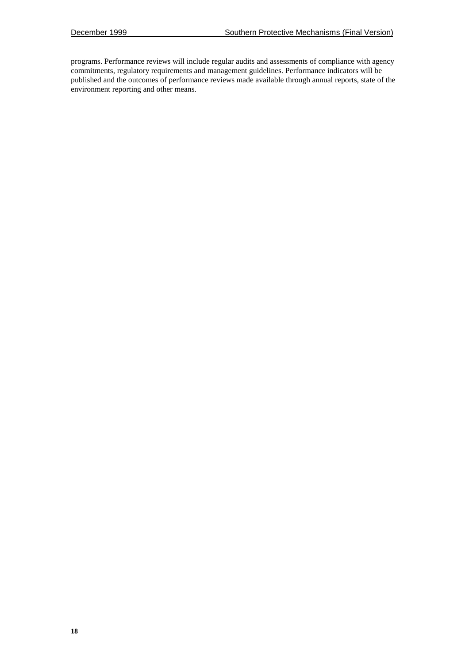programs. Performance reviews will include regular audits and assessments of compliance with agency commitments, regulatory requirements and management guidelines. Performance indicators will be published and the outcomes of performance reviews made available through annual reports, state of the environment reporting and other means.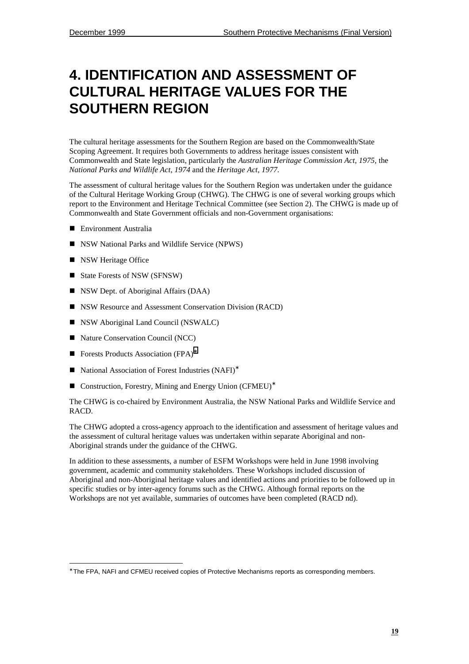# <span id="page-34-0"></span>**4. IDENTIFICATION AND ASSESSMENT OF CULTURAL HERITAGE VALUES FOR THE SOUTHERN REGION**

The cultural heritage assessments for the Southern Region are based on the Commonwealth/State Scoping Agreement. It requires both Governments to address heritage issues consistent with Commonwealth and State legislation, particularly the *Australian Heritage Commission Act, 1975,* the *National Parks and Wildlife Act, 1974* and the *Heritage Act, 1977.*

The assessment of cultural heritage values for the Southern Region was undertaken under the guidance of the Cultural Heritage Working Group (CHWG). The CHWG is one of several working groups which report to the Environment and Heritage Technical Committee (see Section 2). The CHWG is made up of Commonwealth and State Government officials and non-Government organisations:

- **E** Environment Australia
- NSW National Parks and Wildlife Service (NPWS)
- **II** NSW Heritage Office

l

- State Forests of NSW (SFNSW)
- NSW Dept. of Aboriginal Affairs (DAA)
- NSW Resource and Assessment Conservation Division (RACD)
- **INSW Aboriginal Land Council (NSWALC)**
- Nature Conservation Council (NCC)
- Forests Products Association (FPA)<sup>\*</sup>
- National Association of Forest Industries (NAFI)<sup>∗</sup>
- Construction, Forestry, Mining and Energy Union (CFMEU)<sup>\*</sup>

The CHWG is co-chaired by Environment Australia, the NSW National Parks and Wildlife Service and RACD.

The CHWG adopted a cross-agency approach to the identification and assessment of heritage values and the assessment of cultural heritage values was undertaken within separate Aboriginal and non-Aboriginal strands under the guidance of the CHWG.

In addition to these assessments, a number of ESFM Workshops were held in June 1998 involving government, academic and community stakeholders. These Workshops included discussion of Aboriginal and non-Aboriginal heritage values and identified actions and priorities to be followed up in specific studies or by inter-agency forums such as the CHWG. Although formal reports on the Workshops are not yet available, summaries of outcomes have been completed (RACD nd).

<sup>∗</sup> The FPA, NAFI and CFMEU received copies of Protective Mechanisms reports as corresponding members.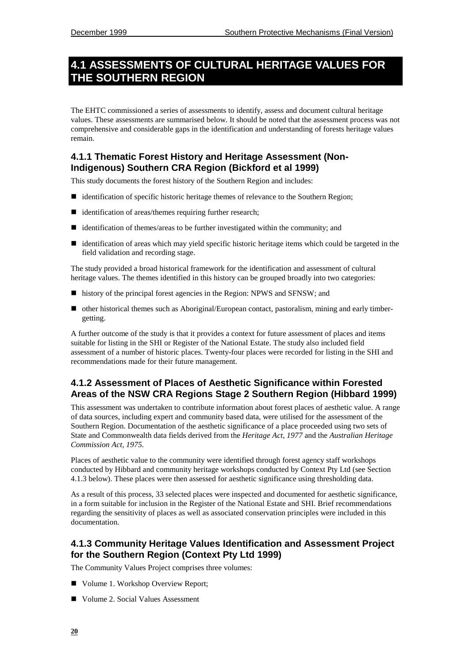### <span id="page-35-0"></span>**4.1 ASSESSMENTS OF CULTURAL HERITAGE VALUES FOR THE SOUTHERN REGION**

The EHTC commissioned a series of assessments to identify, assess and document cultural heritage values. These assessments are summarised below. It should be noted that the assessment process was not comprehensive and considerable gaps in the identification and understanding of forests heritage values remain.

#### **4.1.1 Thematic Forest History and Heritage Assessment (Non-Indigenous) Southern CRA Region (Bickford et al 1999)**

This study documents the forest history of the Southern Region and includes:

- ! identification of specific historic heritage themes of relevance to the Southern Region;
- $\blacksquare$  identification of areas/themes requiring further research;
- ! identification of themes/areas to be further investigated within the community; and
- ! identification of areas which may yield specific historic heritage items which could be targeted in the field validation and recording stage.

The study provided a broad historical framework for the identification and assessment of cultural heritage values. The themes identified in this history can be grouped broadly into two categories:

- history of the principal forest agencies in the Region: NPWS and SFNSW; and
- ! other historical themes such as Aboriginal/European contact, pastoralism, mining and early timbergetting.

A further outcome of the study is that it provides a context for future assessment of places and items suitable for listing in the SHI or Register of the National Estate. The study also included field assessment of a number of historic places. Twenty-four places were recorded for listing in the SHI and recommendations made for their future management.

#### **4.1.2 Assessment of Places of Aesthetic Significance within Forested Areas of the NSW CRA Regions Stage 2 Southern Region (Hibbard 1999)**

This assessment was undertaken to contribute information about forest places of aesthetic value. A range of data sources, including expert and community based data, were utilised for the assessment of the Southern Region. Documentation of the aesthetic significance of a place proceeded using two sets of State and Commonwealth data fields derived from the *Heritage Act, 1977* and the *Australian Heritage Commission Act, 1975.*

Places of aesthetic value to the community were identified through forest agency staff workshops conducted by Hibbard and community heritage workshops conducted by Context Pty Ltd (see Section 4.1.3 below). These places were then assessed for aesthetic significance using thresholding data.

As a result of this process, 33 selected places were inspected and documented for aesthetic significance, in a form suitable for inclusion in the Register of the National Estate and SHI. Brief recommendations regarding the sensitivity of places as well as associated conservation principles were included in this documentation.

#### **4.1.3 Community Heritage Values Identification and Assessment Project for the Southern Region (Context Pty Ltd 1999)**

The Community Values Project comprises three volumes:

- Volume 1. Workshop Overview Report:
- Volume 2. Social Values Assessment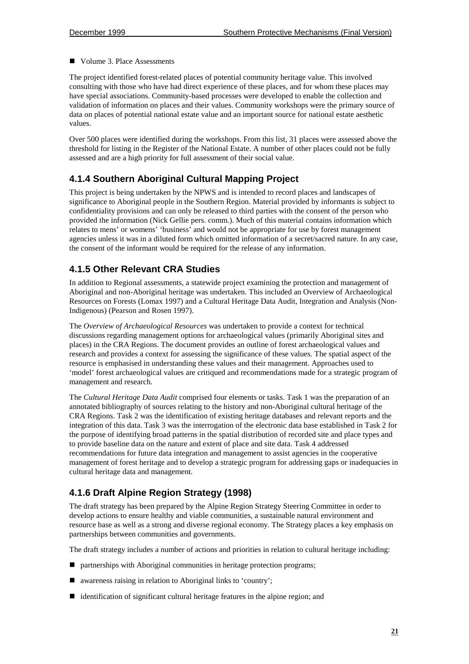■ Volume 3. Place Assessments

The project identified forest-related places of potential community heritage value. This involved consulting with those who have had direct experience of these places, and for whom these places may have special associations. Community-based processes were developed to enable the collection and validation of information on places and their values. Community workshops were the primary source of data on places of potential national estate value and an important source for national estate aesthetic values.

Over 500 places were identified during the workshops. From this list, 31 places were assessed above the threshold for listing in the Register of the National Estate. A number of other places could not be fully assessed and are a high priority for full assessment of their social value.

## **4.1.4 Southern Aboriginal Cultural Mapping Project**

This project is being undertaken by the NPWS and is intended to record places and landscapes of significance to Aboriginal people in the Southern Region. Material provided by informants is subject to confidentiality provisions and can only be released to third parties with the consent of the person who provided the information (Nick Gellie pers. comm.). Much of this material contains information which relates to mens' or womens' 'business' and would not be appropriate for use by forest management agencies unless it was in a diluted form which omitted information of a secret/sacred nature. In any case, the consent of the informant would be required for the release of any information.

### **4.1.5 Other Relevant CRA Studies**

In addition to Regional assessments, a statewide project examining the protection and management of Aboriginal and non-Aboriginal heritage was undertaken. This included an Overview of Archaeological Resources on Forests (Lomax 1997) and a Cultural Heritage Data Audit, Integration and Analysis (Non-Indigenous) (Pearson and Rosen 1997).

The *Overview of Archaeological Resources* was undertaken to provide a context for technical discussions regarding management options for archaeological values (primarily Aboriginal sites and places) in the CRA Regions. The document provides an outline of forest archaeological values and research and provides a context for assessing the significance of these values. The spatial aspect of the resource is emphasised in understanding these values and their management. Approaches used to 'model' forest archaeological values are critiqued and recommendations made for a strategic program of management and research.

The *Cultural Heritage Data Audit* comprised four elements or tasks. Task 1 was the preparation of an annotated bibliography of sources relating to the history and non-Aboriginal cultural heritage of the CRA Regions. Task 2 was the identification of existing heritage databases and relevant reports and the integration of this data. Task 3 was the interrogation of the electronic data base established in Task 2 for the purpose of identifying broad patterns in the spatial distribution of recorded site and place types and to provide baseline data on the nature and extent of place and site data. Task 4 addressed recommendations for future data integration and management to assist agencies in the cooperative management of forest heritage and to develop a strategic program for addressing gaps or inadequacies in cultural heritage data and management.

## **4.1.6 Draft Alpine Region Strategy (1998)**

The draft strategy has been prepared by the Alpine Region Strategy Steering Committee in order to develop actions to ensure healthy and viable communities, a sustainable natural environment and resource base as well as a strong and diverse regional economy. The Strategy places a key emphasis on partnerships between communities and governments.

The draft strategy includes a number of actions and priorities in relation to cultural heritage including:

- partnerships with Aboriginal communities in heritage protection programs;
- awareness raising in relation to Aboriginal links to 'country';
- ! identification of significant cultural heritage features in the alpine region; and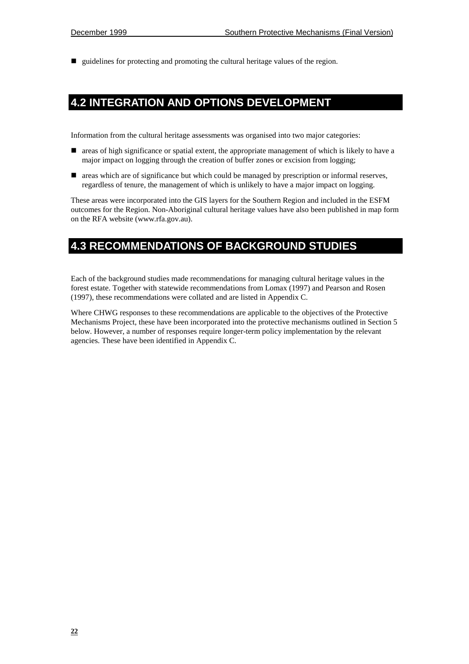! guidelines for protecting and promoting the cultural heritage values of the region.

## **4.2 INTEGRATION AND OPTIONS DEVELOPMENT**

Information from the cultural heritage assessments was organised into two major categories:

- ! areas of high significance or spatial extent, the appropriate management of which is likely to have a major impact on logging through the creation of buffer zones or excision from logging;
- ! areas which are of significance but which could be managed by prescription or informal reserves, regardless of tenure, the management of which is unlikely to have a major impact on logging.

These areas were incorporated into the GIS layers for the Southern Region and included in the ESFM outcomes for the Region. Non-Aboriginal cultural heritage values have also been published in map form on the RFA website (www.rfa.gov.au).

## **4.3 RECOMMENDATIONS OF BACKGROUND STUDIES**

Each of the background studies made recommendations for managing cultural heritage values in the forest estate. Together with statewide recommendations from Lomax (1997) and Pearson and Rosen (1997), these recommendations were collated and are listed in Appendix C.

Where CHWG responses to these recommendations are applicable to the objectives of the Protective Mechanisms Project, these have been incorporated into the protective mechanisms outlined in Section 5 below. However, a number of responses require longer-term policy implementation by the relevant agencies. These have been identified in Appendix C.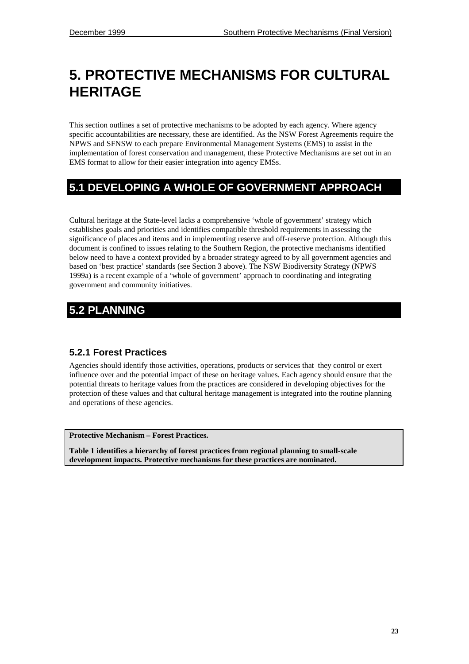# **5. PROTECTIVE MECHANISMS FOR CULTURAL HERITAGE**

This section outlines a set of protective mechanisms to be adopted by each agency. Where agency specific accountabilities are necessary, these are identified. As the NSW Forest Agreements require the NPWS and SFNSW to each prepare Environmental Management Systems (EMS) to assist in the implementation of forest conservation and management, these Protective Mechanisms are set out in an EMS format to allow for their easier integration into agency EMSs.

# **5.1 DEVELOPING A WHOLE OF GOVERNMENT APPROACH**

Cultural heritage at the State-level lacks a comprehensive 'whole of government' strategy which establishes goals and priorities and identifies compatible threshold requirements in assessing the significance of places and items and in implementing reserve and off-reserve protection. Although this document is confined to issues relating to the Southern Region, the protective mechanisms identified below need to have a context provided by a broader strategy agreed to by all government agencies and based on 'best practice' standards (see Section 3 above). The NSW Biodiversity Strategy (NPWS 1999a) is a recent example of a 'whole of government' approach to coordinating and integrating government and community initiatives.

# **5.2 PLANNING**

## **5.2.1 Forest Practices**

Agencies should identify those activities, operations, products or services that they control or exert influence over and the potential impact of these on heritage values. Each agency should ensure that the potential threats to heritage values from the practices are considered in developing objectives for the protection of these values and that cultural heritage management is integrated into the routine planning and operations of these agencies.

**Protective Mechanism – Forest Practices.**

**Table 1 identifies a hierarchy of forest practices from regional planning to small-scale development impacts. Protective mechanisms for these practices are nominated.**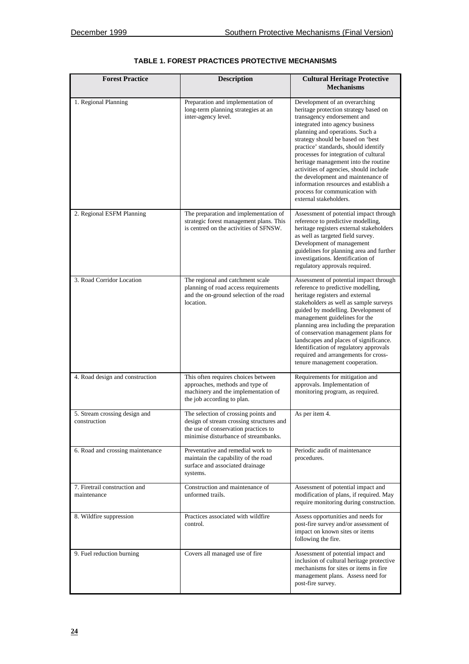| <b>Forest Practice</b>                        | <b>Description</b>                                                                                                                                               | <b>Cultural Heritage Protective</b><br><b>Mechanisms</b>                                                                                                                                                                                                                                                                                                                                                                                                                                                                       |
|-----------------------------------------------|------------------------------------------------------------------------------------------------------------------------------------------------------------------|--------------------------------------------------------------------------------------------------------------------------------------------------------------------------------------------------------------------------------------------------------------------------------------------------------------------------------------------------------------------------------------------------------------------------------------------------------------------------------------------------------------------------------|
| 1. Regional Planning                          | Preparation and implementation of<br>long-term planning strategies at an<br>inter-agency level.                                                                  | Development of an overarching<br>heritage protection strategy based on<br>transagency endorsement and<br>integrated into agency business<br>planning and operations. Such a<br>strategy should be based on 'best<br>practice' standards, should identify<br>processes for integration of cultural<br>heritage management into the routine<br>activities of agencies, should include<br>the development and maintenance of<br>information resources and establish a<br>process for communication with<br>external stakeholders. |
| 2. Regional ESFM Planning                     | The preparation and implementation of<br>strategic forest management plans. This<br>is centred on the activities of SFNSW.                                       | Assessment of potential impact through<br>reference to predictive modelling,<br>heritage registers external stakeholders<br>as well as targeted field survey.<br>Development of management<br>guidelines for planning area and further<br>investigations. Identification of<br>regulatory approvals required.                                                                                                                                                                                                                  |
| 3. Road Corridor Location                     | The regional and catchment scale<br>planning of road access requirements<br>and the on-ground selection of the road<br>location.                                 | Assessment of potential impact through<br>reference to predictive modelling,<br>heritage registers and external<br>stakeholders as well as sample surveys<br>guided by modelling. Development of<br>management guidelines for the<br>planning area including the preparation<br>of conservation management plans for<br>landscapes and places of significance.<br>Identification of regulatory approvals<br>required and arrangements for cross-<br>tenure management cooperation.                                             |
| 4. Road design and construction               | This often requires choices between<br>approaches, methods and type of<br>machinery and the implementation of<br>the job according to plan.                      | Requirements for mitigation and<br>approvals. Implementation of<br>monitoring program, as required.                                                                                                                                                                                                                                                                                                                                                                                                                            |
| 5. Stream crossing design and<br>construction | The selection of crossing points and<br>design of stream crossing structures and<br>the use of conservation practices to<br>minimise disturbance of streambanks. | As per item 4.                                                                                                                                                                                                                                                                                                                                                                                                                                                                                                                 |
| 6. Road and crossing maintenance              | Preventative and remedial work to<br>maintain the capability of the road<br>surface and associated drainage<br>systems.                                          | Periodic audit of maintenance<br>procedures.                                                                                                                                                                                                                                                                                                                                                                                                                                                                                   |
| 7. Firetrail construction and<br>maintenance  | Construction and maintenance of<br>unformed trails.                                                                                                              | Assessment of potential impact and<br>modification of plans, if required. May<br>require monitoring during construction.                                                                                                                                                                                                                                                                                                                                                                                                       |
| 8. Wildfire suppression                       | Practices associated with wildfire<br>control.                                                                                                                   | Assess opportunities and needs for<br>post-fire survey and/or assessment of<br>impact on known sites or items<br>following the fire.                                                                                                                                                                                                                                                                                                                                                                                           |
| 9. Fuel reduction burning                     | Covers all managed use of fire                                                                                                                                   | Assessment of potential impact and<br>inclusion of cultural heritage protective<br>mechanisms for sites or items in fire<br>management plans. Assess need for<br>post-fire survey.                                                                                                                                                                                                                                                                                                                                             |

#### **TABLE 1. FOREST PRACTICES PROTECTIVE MECHANISMS**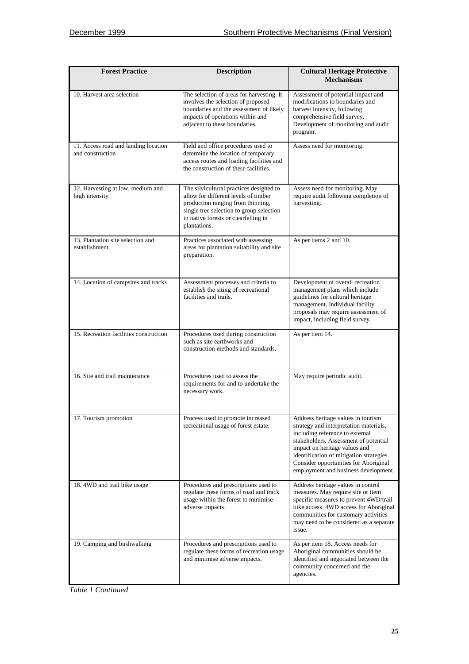| <b>Forest Practice</b>                                   | <b>Description</b>                                                                                                                                                                                                       | <b>Cultural Heritage Protective</b><br><b>Mechanisms</b>                                                                                                                                                                                                                                                               |  |
|----------------------------------------------------------|--------------------------------------------------------------------------------------------------------------------------------------------------------------------------------------------------------------------------|------------------------------------------------------------------------------------------------------------------------------------------------------------------------------------------------------------------------------------------------------------------------------------------------------------------------|--|
| 10. Harvest area selection                               | The selection of areas for harvesting. It<br>involves the selection of proposed<br>boundaries and the assessment of likely<br>impacts of operations within and<br>adjacent to these boundaries.                          | Assessment of potential impact and<br>modifications to boundaries and<br>harvest intensity, following<br>comprehensive field survey.<br>Development of monitoring and audit<br>program.                                                                                                                                |  |
| 11. Access road and landing location<br>and construction | Field and office procedures used to<br>determine the location of temporary<br>access routes and loading facilities and<br>the construction of these facilities.                                                          | Assess need for monitoring.                                                                                                                                                                                                                                                                                            |  |
| 12. Harvesting at low, medium and<br>high intensity      | The silvicultural practices designed to<br>allow for different levels of timber<br>production ranging from thinning,<br>single tree selection to group selection<br>in native forests or clearfelling in<br>plantations. | Assess need for monitoring. May<br>require audit following completion of<br>harvesting.                                                                                                                                                                                                                                |  |
| 13. Plantation site selection and<br>establishment       | Practices associated with assessing<br>areas for plantation suitability and site<br>preparation.                                                                                                                         | As per items 2 and 10.                                                                                                                                                                                                                                                                                                 |  |
| 14. Location of campsites and tracks                     | Assessment processes and criteria to<br>establish the siting of recreational<br>facilities and trails.                                                                                                                   | Development of overall recreation<br>management plans which include<br>guidelines for cultural heritage<br>management. Individual facility<br>proposals may require assessment of<br>impact, including field survey.                                                                                                   |  |
| 15. Recreation facilities construction                   | Procedures used during construction<br>such as site earthworks and<br>construction methods and standards.                                                                                                                | As per item 14.                                                                                                                                                                                                                                                                                                        |  |
| 16. Site and trail maintenance                           | Procedures used to assess the<br>requirements for and to undertake the<br>necessary work.                                                                                                                                | May require periodic audit.                                                                                                                                                                                                                                                                                            |  |
| 17. Tourism promotion                                    | Process used to promote increased<br>recreational usage of forest estate.                                                                                                                                                | Address heritage values in tourism<br>strategy and interpretation materials,<br>including reference to external<br>stakeholders. Assessment of potential<br>impact on heritage values and<br>identification of mitigation strategies.<br>Consider opportunities for Aboriginal<br>employment and business development. |  |
| 18.4WD and trail bike usage                              | Procedures and prescriptions used to<br>regulate these forms of road and track<br>usage within the forest to minimise<br>adverse impacts.                                                                                | Address heritage values in control<br>measures. May require site or item<br>specific measures to prevent 4WD/trail-<br>bike access. 4WD access for Aboriginal<br>communities for customary activities<br>may need to be considered as a separate<br>issue.                                                             |  |
| 19. Camping and bushwalking                              | Procedures and prescriptions used to<br>regulate these forms of recreation usage<br>and minimise adverse impacts.                                                                                                        | As per item 18. Access needs for<br>Aboriginal communities should be<br>identified and negotiated between the<br>community concerned and the<br>agencies.                                                                                                                                                              |  |

*Table 1 Continued*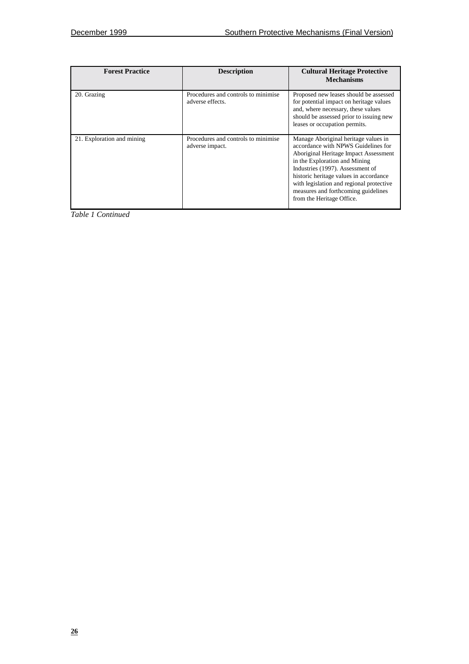| <b>Forest Practice</b>     | <b>Description</b>                                      | <b>Cultural Heritage Protective</b><br><b>Mechanisms</b>                                                                                                                                                                                                                                                                                            |
|----------------------------|---------------------------------------------------------|-----------------------------------------------------------------------------------------------------------------------------------------------------------------------------------------------------------------------------------------------------------------------------------------------------------------------------------------------------|
| 20. Grazing                | Procedures and controls to minimise<br>adverse effects. | Proposed new leases should be assessed<br>for potential impact on heritage values<br>and, where necessary, these values<br>should be assessed prior to issuing new<br>leases or occupation permits.                                                                                                                                                 |
| 21. Exploration and mining | Procedures and controls to minimise<br>adverse impact.  | Manage Aboriginal heritage values in<br>accordance with NPWS Guidelines for<br>Aboriginal Heritage Impact Assessment<br>in the Exploration and Mining<br>Industries (1997). Assessment of<br>historic heritage values in accordance<br>with legislation and regional protective<br>measures and forthcoming guidelines<br>from the Heritage Office. |

*Table 1 Continued*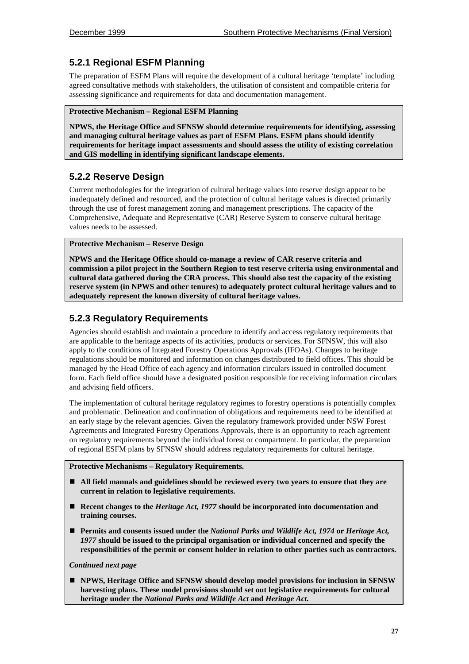## **5.2.1 Regional ESFM Planning**

The preparation of ESFM Plans will require the development of a cultural heritage 'template' including agreed consultative methods with stakeholders, the utilisation of consistent and compatible criteria for assessing significance and requirements for data and documentation management.

#### **Protective Mechanism – Regional ESFM Planning**

**NPWS, the Heritage Office and SFNSW should determine requirements for identifying, assessing and managing cultural heritage values as part of ESFM Plans. ESFM plans should identify requirements for heritage impact assessments and should assess the utility of existing correlation and GIS modelling in identifying significant landscape elements.**

## **5.2.2 Reserve Design**

Current methodologies for the integration of cultural heritage values into reserve design appear to be inadequately defined and resourced, and the protection of cultural heritage values is directed primarily through the use of forest management zoning and management prescriptions. The capacity of the Comprehensive, Adequate and Representative (CAR) Reserve System to conserve cultural heritage values needs to be assessed.

#### **Protective Mechanism – Reserve Design**

**NPWS and the Heritage Office should co-manage a review of CAR reserve criteria and commission a pilot project in the Southern Region to test reserve criteria using environmental and cultural data gathered during the CRA process. This should also test the capacity of the existing reserve system (in NPWS and other tenures) to adequately protect cultural heritage values and to adequately represent the known diversity of cultural heritage values.**

### **5.2.3 Regulatory Requirements**

Agencies should establish and maintain a procedure to identify and access regulatory requirements that are applicable to the heritage aspects of its activities, products or services. For SFNSW, this will also apply to the conditions of Integrated Forestry Operations Approvals (IFOAs). Changes to heritage regulations should be monitored and information on changes distributed to field offices. This should be managed by the Head Office of each agency and information circulars issued in controlled document form. Each field office should have a designated position responsible for receiving information circulars and advising field officers.

The implementation of cultural heritage regulatory regimes to forestry operations is potentially complex and problematic. Delineation and confirmation of obligations and requirements need to be identified at an early stage by the relevant agencies. Given the regulatory framework provided under NSW Forest Agreements and Integrated Forestry Operations Approvals, there is an opportunity to reach agreement on regulatory requirements beyond the individual forest or compartment. In particular, the preparation of regional ESFM plans by SFNSW should address regulatory requirements for cultural heritage.

#### **Protective Mechanisms – Regulatory Requirements.**

- ! **All field manuals and guidelines should be reviewed every two years to ensure that they are current in relation to legislative requirements.**
- ! **Recent changes to the** *Heritage Act, 1977* **should be incorporated into documentation and training courses.**
- ! **Permits and consents issued under the** *National Parks and Wildlife Act, 1974* **or** *Heritage Act, 1977* **should be issued to the principal organisation or individual concerned and specify the responsibilities of the permit or consent holder in relation to other parties such as contractors.**

#### *Continued next page*

! **NPWS, Heritage Office and SFNSW should develop model provisions for inclusion in SFNSW harvesting plans. These model provisions should set out legislative requirements for cultural heritage under the** *National Parks and Wildlife Act* **and** *Heritage Act.*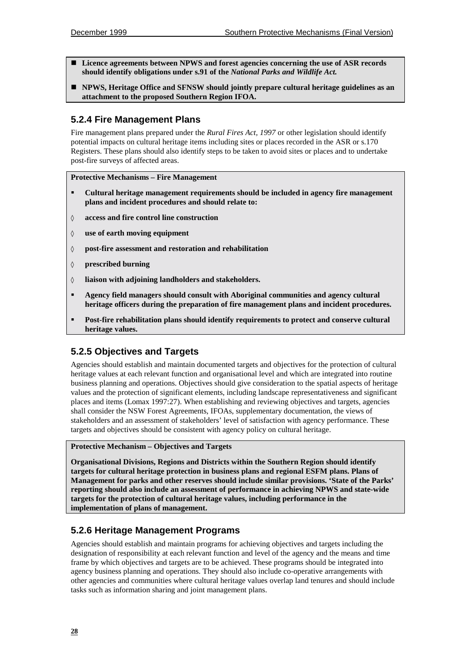- ! **Licence agreements between NPWS and forest agencies concerning the use of ASR records should identify obligations under s.91 of the** *National Parks and Wildlife Act.*
- ! **NPWS, Heritage Office and SFNSW should jointly prepare cultural heritage guidelines as an attachment to the proposed Southern Region IFOA.**

## **5.2.4 Fire Management Plans**

Fire management plans prepared under the *Rural Fires Act, 1997* or other legislation should identify potential impacts on cultural heritage items including sites or places recorded in the ASR or s.170 Registers. These plans should also identify steps to be taken to avoid sites or places and to undertake post-fire surveys of affected areas.

#### **Protective Mechanisms – Fire Management**

- " **Cultural heritage management requirements should be included in agency fire management plans and incident procedures and should relate to:**
- ◊ **access and fire control line construction**
- ◊ **use of earth moving equipment**
- ◊ **post-fire assessment and restoration and rehabilitation**
- ◊ **prescribed burning**
- ◊ **liaison with adjoining landholders and stakeholders.**
- " **Agency field managers should consult with Aboriginal communities and agency cultural heritage officers during the preparation of fire management plans and incident procedures.**
- " **Post-fire rehabilitation plans should identify requirements to protect and conserve cultural heritage values.**

## **5.2.5 Objectives and Targets**

Agencies should establish and maintain documented targets and objectives for the protection of cultural heritage values at each relevant function and organisational level and which are integrated into routine business planning and operations. Objectives should give consideration to the spatial aspects of heritage values and the protection of significant elements, including landscape representativeness and significant places and items (Lomax 1997:27). When establishing and reviewing objectives and targets, agencies shall consider the NSW Forest Agreements, IFOAs, supplementary documentation, the views of stakeholders and an assessment of stakeholders' level of satisfaction with agency performance. These targets and objectives should be consistent with agency policy on cultural heritage.

#### **Protective Mechanism – Objectives and Targets**

**Organisational Divisions, Regions and Districts within the Southern Region should identify targets for cultural heritage protection in business plans and regional ESFM plans. Plans of Management for parks and other reserves should include similar provisions. 'State of the Parks' reporting should also include an assessment of performance in achieving NPWS and state-wide targets for the protection of cultural heritage values, including performance in the implementation of plans of management.**

## **5.2.6 Heritage Management Programs**

Agencies should establish and maintain programs for achieving objectives and targets including the designation of responsibility at each relevant function and level of the agency and the means and time frame by which objectives and targets are to be achieved. These programs should be integrated into agency business planning and operations. They should also include co-operative arrangements with other agencies and communities where cultural heritage values overlap land tenures and should include tasks such as information sharing and joint management plans.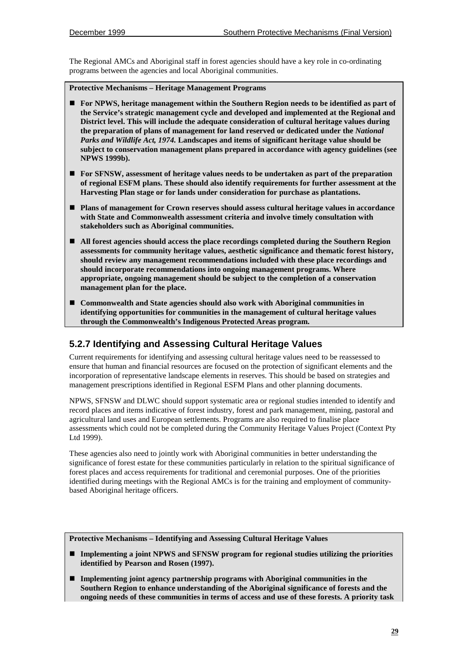The Regional AMCs and Aboriginal staff in forest agencies should have a key role in co-ordinating programs between the agencies and local Aboriginal communities.

**Protective Mechanisms – Heritage Management Programs**

- ! **For NPWS, heritage management within the Southern Region needs to be identified as part of the Service's strategic management cycle and developed and implemented at the Regional and District level. This will include the adequate consideration of cultural heritage values during the preparation of plans of management for land reserved or dedicated under the** *National Parks and Wildlife Act, 1974.* **Landscapes and items of significant heritage value should be subject to conservation management plans prepared in accordance with agency guidelines (see NPWS 1999b).**
- ! **For SFNSW, assessment of heritage values needs to be undertaken as part of the preparation of regional ESFM plans. These should also identify requirements for further assessment at the Harvesting Plan stage or for lands under consideration for purchase as plantations.**
- ! **Plans of management for Crown reserves should assess cultural heritage values in accordance with State and Commonwealth assessment criteria and involve timely consultation with stakeholders such as Aboriginal communities.**
- ! **All forest agencies should access the place recordings completed during the Southern Region assessments for community heritage values, aesthetic significance and thematic forest history, should review any management recommendations included with these place recordings and should incorporate recommendations into ongoing management programs. Where appropriate, ongoing management should be subject to the completion of a conservation management plan for the place.**
- ! **Commonwealth and State agencies should also work with Aboriginal communities in identifying opportunities for communities in the management of cultural heritage values through the Commonwealth's Indigenous Protected Areas program.**

## **5.2.7 Identifying and Assessing Cultural Heritage Values**

Current requirements for identifying and assessing cultural heritage values need to be reassessed to ensure that human and financial resources are focused on the protection of significant elements and the incorporation of representative landscape elements in reserves. This should be based on strategies and management prescriptions identified in Regional ESFM Plans and other planning documents.

NPWS, SFNSW and DLWC should support systematic area or regional studies intended to identify and record places and items indicative of forest industry, forest and park management, mining, pastoral and agricultural land uses and European settlements. Programs are also required to finalise place assessments which could not be completed during the Community Heritage Values Project (Context Pty Ltd 1999).

These agencies also need to jointly work with Aboriginal communities in better understanding the significance of forest estate for these communities particularly in relation to the spiritual significance of forest places and access requirements for traditional and ceremonial purposes. One of the priorities identified during meetings with the Regional AMCs is for the training and employment of communitybased Aboriginal heritage officers.

**Protective Mechanisms – Identifying and Assessing Cultural Heritage Values**

- ! **Implementing a joint NPWS and SFNSW program for regional studies utilizing the priorities identified by Pearson and Rosen (1997).**
- ! **Implementing joint agency partnership programs with Aboriginal communities in the Southern Region to enhance understanding of the Aboriginal significance of forests and the ongoing needs of these communities in terms of access and use of these forests. A priority task**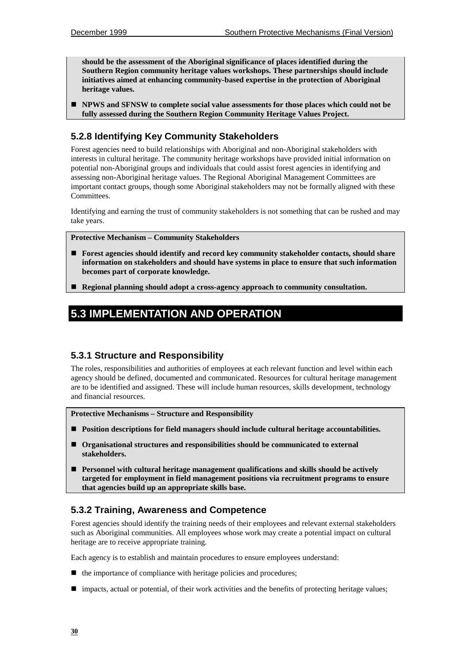**should be the assessment of the Aboriginal significance of places identified during the Southern Region community heritage values workshops. These partnerships should include initiatives aimed at enhancing community-based expertise in the protection of Aboriginal heritage values.**

! **NPWS and SFNSW to complete social value assessments for those places which could not be fully assessed during the Southern Region Community Heritage Values Project.**

## **5.2.8 Identifying Key Community Stakeholders**

Forest agencies need to build relationships with Aboriginal and non-Aboriginal stakeholders with interests in cultural heritage. The community heritage workshops have provided initial information on potential non-Aboriginal groups and individuals that could assist forest agencies in identifying and assessing non-Aboriginal heritage values. The Regional Aboriginal Management Committees are important contact groups, though some Aboriginal stakeholders may not be formally aligned with these Committees.

Identifying and earning the trust of community stakeholders is not something that can be rushed and may take years.

**Protective Mechanism – Community Stakeholders**

- ! **Forest agencies should identify and record key community stakeholder contacts, should share information on stakeholders and should have systems in place to ensure that such information becomes part of corporate knowledge.**
- ! **Regional planning should adopt a cross-agency approach to community consultation.**

## **5.3 IMPLEMENTATION AND OPERATION**

## **5.3.1 Structure and Responsibility**

The roles, responsibilities and authorities of employees at each relevant function and level within each agency should be defined, documented and communicated. Resources for cultural heritage management are to be identified and assigned. These will include human resources, skills development, technology and financial resources.

**Protective Mechanisms – Structure and Responsibility**

- ! **Position descriptions for field managers should include cultural heritage accountabilities.**
- ! **Organisational structures and responsibilities should be communicated to external stakeholders.**
- ! **Personnel with cultural heritage management qualifications and skills should be actively targeted for employment in field management positions via recruitment programs to ensure that agencies build up an appropriate skills base.**

## **5.3.2 Training, Awareness and Competence**

Forest agencies should identify the training needs of their employees and relevant external stakeholders such as Aboriginal communities. All employees whose work may create a potential impact on cultural heritage are to receive appropriate training.

Each agency is to establish and maintain procedures to ensure employees understand:

- the importance of compliance with heritage policies and procedures;
- ! impacts, actual or potential, of their work activities and the benefits of protecting heritage values;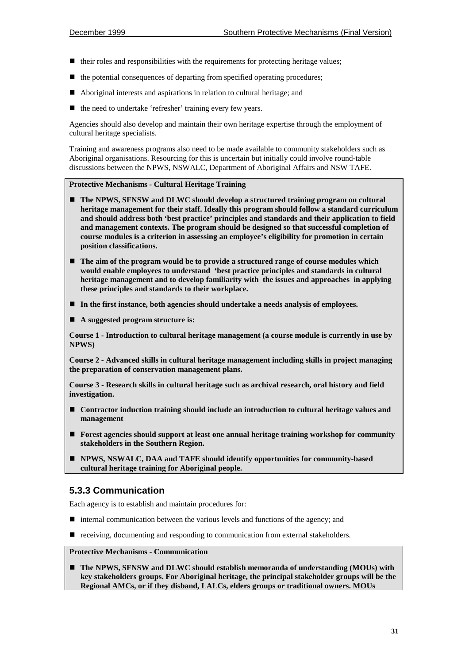- $\blacksquare$  their roles and responsibilities with the requirements for protecting heritage values;
- the potential consequences of departing from specified operating procedures;
- ! Aboriginal interests and aspirations in relation to cultural heritage; and
- the need to undertake 'refresher' training every few years.

Agencies should also develop and maintain their own heritage expertise through the employment of cultural heritage specialists.

Training and awareness programs also need to be made available to community stakeholders such as Aboriginal organisations. Resourcing for this is uncertain but initially could involve round-table discussions between the NPWS, NSWALC, Department of Aboriginal Affairs and NSW TAFE.

#### **Protective Mechanisms - Cultural Heritage Training**

- ! **The NPWS, SFNSW and DLWC should develop a structured training program on cultural heritage management for their staff. Ideally this program should follow a standard curriculum and should address both 'best practice' principles and standards and their application to field and management contexts. The program should be designed so that successful completion of course modules is a criterion in assessing an employee's eligibility for promotion in certain position classifications.**
- ! **The aim of the program would be to provide a structured range of course modules which would enable employees to understand 'best practice principles and standards in cultural heritage management and to develop familiarity with the issues and approaches in applying these principles and standards to their workplace.**
- ! **In the first instance, both agencies should undertake a needs analysis of employees.**
- A suggested program structure is:

**Course 1 - Introduction to cultural heritage management (a course module is currently in use by NPWS)**

**Course 2 - Advanced skills in cultural heritage management including skills in project managing the preparation of conservation management plans.**

**Course 3 - Research skills in cultural heritage such as archival research, oral history and field investigation.**

- ! **Contractor induction training should include an introduction to cultural heritage values and management**
- ! **Forest agencies should support at least one annual heritage training workshop for community stakeholders in the Southern Region.**
- ! **NPWS, NSWALC, DAA and TAFE should identify opportunities for community-based cultural heritage training for Aboriginal people.**

#### **5.3.3 Communication**

Each agency is to establish and maintain procedures for:

- $\blacksquare$  internal communication between the various levels and functions of the agency; and
- ! receiving, documenting and responding to communication from external stakeholders.

#### **Protective Mechanisms - Communication**

! **The NPWS, SFNSW and DLWC should establish memoranda of understanding (MOUs) with key stakeholders groups. For Aboriginal heritage, the principal stakeholder groups will be the Regional AMCs, or if they disband, LALCs, elders groups or traditional owners. MOUs**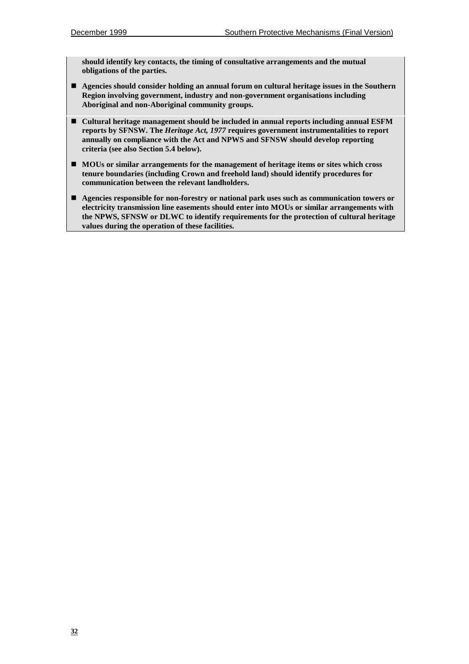**should identify key contacts, the timing of consultative arrangements and the mutual obligations of the parties.**

- ! **Agencies should consider holding an annual forum on cultural heritage issues in the Southern Region involving government, industry and non-government organisations including Aboriginal and non-Aboriginal community groups.**
- ! **Cultural heritage management should be included in annual reports including annual ESFM reports by SFNSW. The** *Heritage Act, 1977* **requires government instrumentalities to report annually on compliance with the Act and NPWS and SFNSW should develop reporting criteria (see also Section 5.4 below).**
- ! **MOUs or similar arrangements for the management of heritage items or sites which cross tenure boundaries (including Crown and freehold land) should identify procedures for communication between the relevant landholders.**
- ! **Agencies responsible for non-forestry or national park uses such as communication towers or electricity transmission line easements should enter into MOUs or similar arrangements with the NPWS, SFNSW or DLWC to identify requirements for the protection of cultural heritage values during the operation of these facilities.**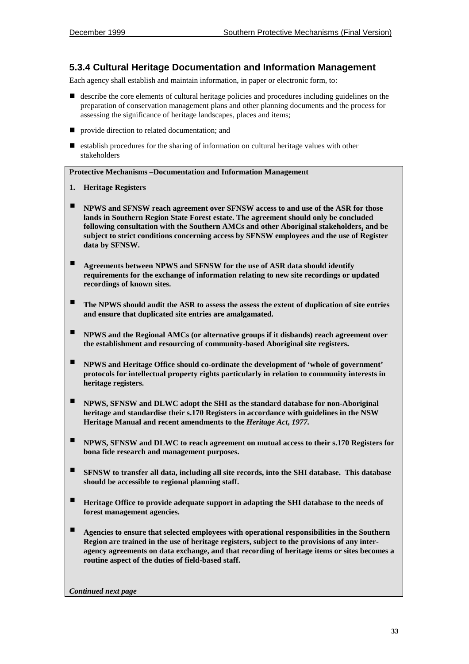### **5.3.4 Cultural Heritage Documentation and Information Management**

Each agency shall establish and maintain information, in paper or electronic form, to:

- ! describe the core elements of cultural heritage policies and procedures including guidelines on the preparation of conservation management plans and other planning documents and the process for assessing the significance of heritage landscapes, places and items;
- $\blacksquare$  provide direction to related documentation; and
- $\blacksquare$  establish procedures for the sharing of information on cultural heritage values with other stakeholders

#### **Protective Mechanisms –Documentation and Information Management**

- **1. Heritage Registers**
- $\blacksquare$  **NPWS** and SFNSW reach agreement over SFNSW access to and use of the ASR for those **lands in Southern Region State Forest estate. The agreement should only be concluded following consultation with the Southern AMCs and other Aboriginal stakeholders, and be subject to strict conditions concerning access by SFNSW employees and the use of Register data by SFNSW.**
- " **Agreements between NPWS and SFNSW for the use of ASR data should identify requirements for the exchange of information relating to new site recordings or updated recordings of known sites.**
- " **The NPWS should audit the ASR to assess the assess the extent of duplication of site entries and ensure that duplicated site entries are amalgamated.**
- **NPWS** and the Regional AMCs (or alternative groups if it disbands) reach agreement over **the establishment and resourcing of community-based Aboriginal site registers.**
- " **NPWS and Heritage Office should co-ordinate the development of 'whole of government' protocols for intellectual property rights particularly in relation to community interests in heritage registers.**
- " **NPWS, SFNSW and DLWC adopt the SHI as the standard database for non-Aboriginal heritage and standardise their s.170 Registers in accordance with guidelines in the NSW Heritage Manual and recent amendments to the** *Heritage Act***,** *1977.*
- " **NPWS, SFNSW and DLWC to reach agreement on mutual access to their s.170 Registers for bona fide research and management purposes.**
- **■** SFNSW to transfer all data, including all site records, into the SHI database. This database **should be accessible to regional planning staff.**
- " **Heritage Office to provide adequate support in adapting the SHI database to the needs of forest management agencies.**
- " **Agencies to ensure that selected employees with operational responsibilities in the Southern Region are trained in the use of heritage registers, subject to the provisions of any interagency agreements on data exchange, and that recording of heritage items or sites becomes a routine aspect of the duties of field-based staff.**

*Continued next page*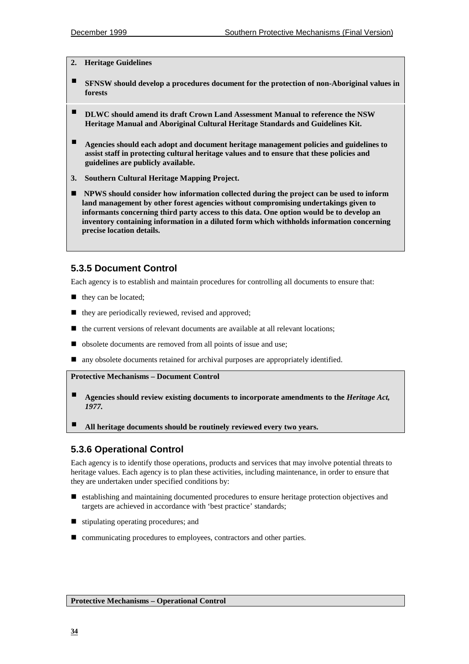#### **2. Heritage Guidelines**

- **EXECUTE:** SFNSW should develop a procedures document for the protection of non-Aboriginal values in **forests**
- " **DLWC should amend its draft Crown Land Assessment Manual to reference the NSW Heritage Manual and Aboriginal Cultural Heritage Standards and Guidelines Kit.**
- " **Agencies should each adopt and document heritage management policies and guidelines to assist staff in protecting cultural heritage values and to ensure that these policies and guidelines are publicly available.**
- **3. Southern Cultural Heritage Mapping Project.**
- ! **NPWS should consider how information collected during the project can be used to inform land management by other forest agencies without compromising undertakings given to informants concerning third party access to this data. One option would be to develop an inventory containing information in a diluted form which withholds information concerning precise location details.**

## **5.3.5 Document Control**

Each agency is to establish and maintain procedures for controlling all documents to ensure that:

- they can be located;
- $\blacksquare$  they are periodically reviewed, revised and approved;
- $\blacksquare$  the current versions of relevant documents are available at all relevant locations;
- obsolete documents are removed from all points of issue and use;
- ! any obsolete documents retained for archival purposes are appropriately identified.

#### **Protective Mechanisms – Document Control**

- " **Agencies should review existing documents to incorporate amendments to the** *Heritage Act, 1977.*
- " **All heritage documents should be routinely reviewed every two years.**

## **5.3.6 Operational Control**

Each agency is to identify those operations, products and services that may involve potential threats to heritage values. Each agency is to plan these activities, including maintenance, in order to ensure that they are undertaken under specified conditions by:

- ! establishing and maintaining documented procedures to ensure heritage protection objectives and targets are achieved in accordance with 'best practice' standards;
- stipulating operating procedures; and
- communicating procedures to employees, contractors and other parties.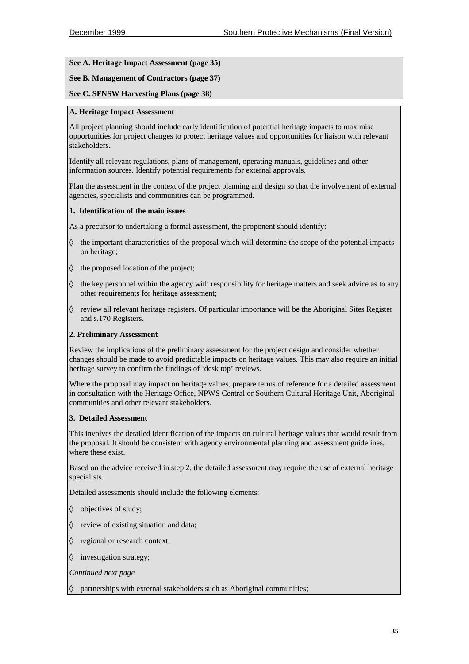#### **See A. Heritage Impact Assessment (page 35)**

#### **See B. Management of Contractors (page 37)**

#### **See C. SFNSW Harvesting Plans (page 38)**

#### **A. Heritage Impact Assessment**

All project planning should include early identification of potential heritage impacts to maximise opportunities for project changes to protect heritage values and opportunities for liaison with relevant stakeholders.

Identify all relevant regulations, plans of management, operating manuals, guidelines and other information sources. Identify potential requirements for external approvals.

Plan the assessment in the context of the project planning and design so that the involvement of external agencies, specialists and communities can be programmed.

#### **1. Identification of the main issues**

As a precursor to undertaking a formal assessment, the proponent should identify:

- ◊ the important characteristics of the proposal which will determine the scope of the potential impacts on heritage;
- ◊ the proposed location of the project;
- $\Diamond$  the key personnel within the agency with responsibility for heritage matters and seek advice as to any other requirements for heritage assessment;
- $\Diamond$  review all relevant heritage registers. Of particular importance will be the Aboriginal Sites Register and s.170 Registers.

#### **2. Preliminary Assessment**

Review the implications of the preliminary assessment for the project design and consider whether changes should be made to avoid predictable impacts on heritage values. This may also require an initial heritage survey to confirm the findings of 'desk top' reviews.

Where the proposal may impact on heritage values, prepare terms of reference for a detailed assessment in consultation with the Heritage Office, NPWS Central or Southern Cultural Heritage Unit, Aboriginal communities and other relevant stakeholders.

#### **3. Detailed Assessment**

This involves the detailed identification of the impacts on cultural heritage values that would result from the proposal. It should be consistent with agency environmental planning and assessment guidelines, where these exist.

Based on the advice received in step 2, the detailed assessment may require the use of external heritage specialists.

Detailed assessments should include the following elements:

- ◊ objectives of study;
- ◊ review of existing situation and data;
- ◊ regional or research context;
- ◊ investigation strategy;

*Continued next page*

◊ partnerships with external stakeholders such as Aboriginal communities;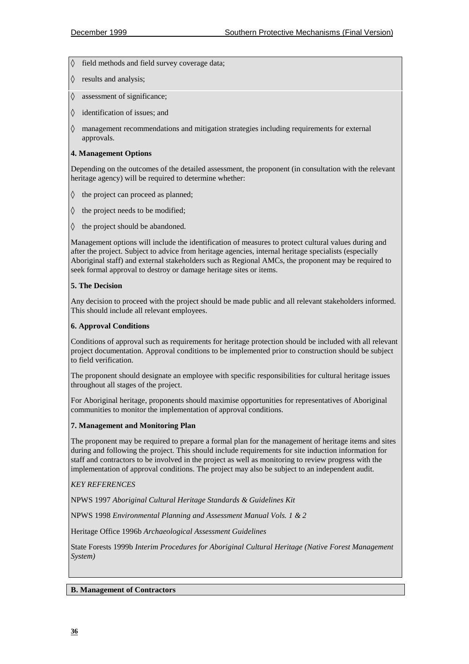◊ field methods and field survey coverage data;

- ◊ results and analysis;
- ◊ assessment of significance;
- ◊ identification of issues; and
- ◊ management recommendations and mitigation strategies including requirements for external approvals.

#### **4. Management Options**

Depending on the outcomes of the detailed assessment, the proponent (in consultation with the relevant heritage agency) will be required to determine whether:

- ◊ the project can proceed as planned;
- ◊ the project needs to be modified;
- ◊ the project should be abandoned.

Management options will include the identification of measures to protect cultural values during and after the project. Subject to advice from heritage agencies, internal heritage specialists (especially Aboriginal staff) and external stakeholders such as Regional AMCs, the proponent may be required to seek formal approval to destroy or damage heritage sites or items.

#### **5. The Decision**

Any decision to proceed with the project should be made public and all relevant stakeholders informed. This should include all relevant employees.

#### **6. Approval Conditions**

Conditions of approval such as requirements for heritage protection should be included with all relevant project documentation. Approval conditions to be implemented prior to construction should be subject to field verification.

The proponent should designate an employee with specific responsibilities for cultural heritage issues throughout all stages of the project.

For Aboriginal heritage, proponents should maximise opportunities for representatives of Aboriginal communities to monitor the implementation of approval conditions.

#### **7. Management and Monitoring Plan**

The proponent may be required to prepare a formal plan for the management of heritage items and sites during and following the project. This should include requirements for site induction information for staff and contractors to be involved in the project as well as monitoring to review progress with the implementation of approval conditions. The project may also be subject to an independent audit.

#### *KEY REFERENCES*

NPWS 1997 *Aboriginal Cultural Heritage Standards & Guidelines Kit*

NPWS 1998 *Environmental Planning and Assessment Manual Vols. 1 & 2*

Heritage Office 1996b *Archaeological Assessment Guidelines*

State Forests 1999b *Interim Procedures for Aboriginal Cultural Heritage (Native Forest Management System)*

#### **B. Management of Contractors**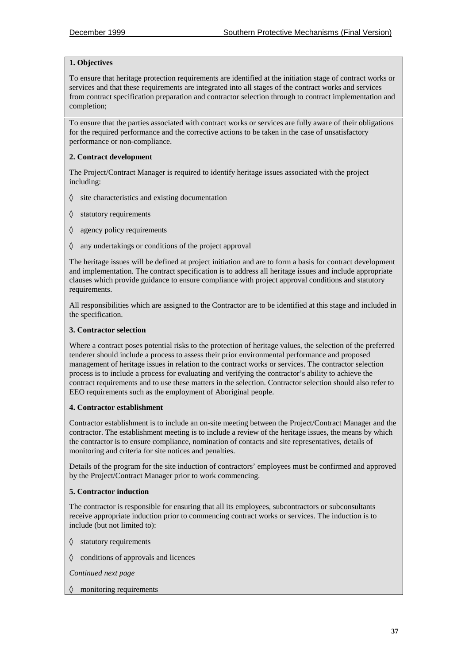#### **1. Objectives**

To ensure that heritage protection requirements are identified at the initiation stage of contract works or services and that these requirements are integrated into all stages of the contract works and services from contract specification preparation and contractor selection through to contract implementation and completion;

To ensure that the parties associated with contract works or services are fully aware of their obligations for the required performance and the corrective actions to be taken in the case of unsatisfactory performance or non-compliance.

#### **2. Contract development**

The Project/Contract Manager is required to identify heritage issues associated with the project including:

- $\Diamond$  site characteristics and existing documentation
- ◊ statutory requirements
- ◊ agency policy requirements
- ◊ any undertakings or conditions of the project approval

The heritage issues will be defined at project initiation and are to form a basis for contract development and implementation. The contract specification is to address all heritage issues and include appropriate clauses which provide guidance to ensure compliance with project approval conditions and statutory requirements.

All responsibilities which are assigned to the Contractor are to be identified at this stage and included in the specification.

#### **3. Contractor selection**

Where a contract poses potential risks to the protection of heritage values, the selection of the preferred tenderer should include a process to assess their prior environmental performance and proposed management of heritage issues in relation to the contract works or services. The contractor selection process is to include a process for evaluating and verifying the contractor's ability to achieve the contract requirements and to use these matters in the selection. Contractor selection should also refer to EEO requirements such as the employment of Aboriginal people.

#### **4. Contractor establishment**

Contractor establishment is to include an on-site meeting between the Project/Contract Manager and the contractor. The establishment meeting is to include a review of the heritage issues, the means by which the contractor is to ensure compliance, nomination of contacts and site representatives, details of monitoring and criteria for site notices and penalties.

Details of the program for the site induction of contractors' employees must be confirmed and approved by the Project/Contract Manager prior to work commencing.

#### **5. Contractor induction**

The contractor is responsible for ensuring that all its employees, subcontractors or subconsultants receive appropriate induction prior to commencing contract works or services. The induction is to include (but not limited to):

- ◊ statutory requirements
- ◊ conditions of approvals and licences

*Continued next page*

◊ monitoring requirements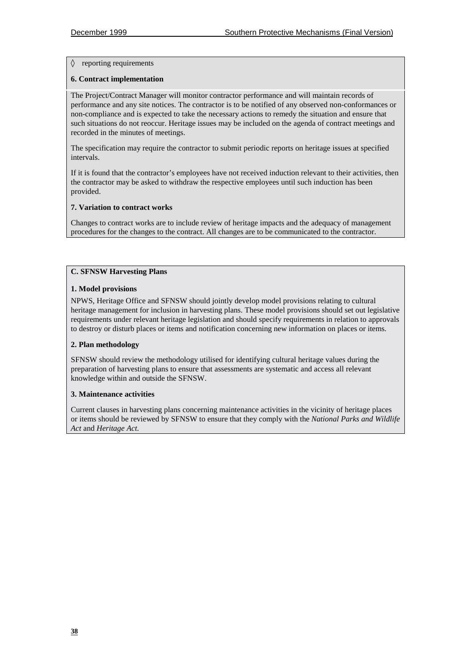#### ◊ reporting requirements

#### **6. Contract implementation**

The Project/Contract Manager will monitor contractor performance and will maintain records of performance and any site notices. The contractor is to be notified of any observed non-conformances or non-compliance and is expected to take the necessary actions to remedy the situation and ensure that such situations do not reoccur. Heritage issues may be included on the agenda of contract meetings and recorded in the minutes of meetings.

The specification may require the contractor to submit periodic reports on heritage issues at specified intervals.

If it is found that the contractor's employees have not received induction relevant to their activities, then the contractor may be asked to withdraw the respective employees until such induction has been provided.

#### **7. Variation to contract works**

Changes to contract works are to include review of heritage impacts and the adequacy of management procedures for the changes to the contract. All changes are to be communicated to the contractor.

#### **C. SFNSW Harvesting Plans**

#### **1. Model provisions**

NPWS, Heritage Office and SFNSW should jointly develop model provisions relating to cultural heritage management for inclusion in harvesting plans. These model provisions should set out legislative requirements under relevant heritage legislation and should specify requirements in relation to approvals to destroy or disturb places or items and notification concerning new information on places or items.

#### **2. Plan methodology**

SFNSW should review the methodology utilised for identifying cultural heritage values during the preparation of harvesting plans to ensure that assessments are systematic and access all relevant knowledge within and outside the SFNSW.

#### **3. Maintenance activities**

Current clauses in harvesting plans concerning maintenance activities in the vicinity of heritage places or items should be reviewed by SFNSW to ensure that they comply with the *National Parks and Wildlife Act* and *Heritage Act.*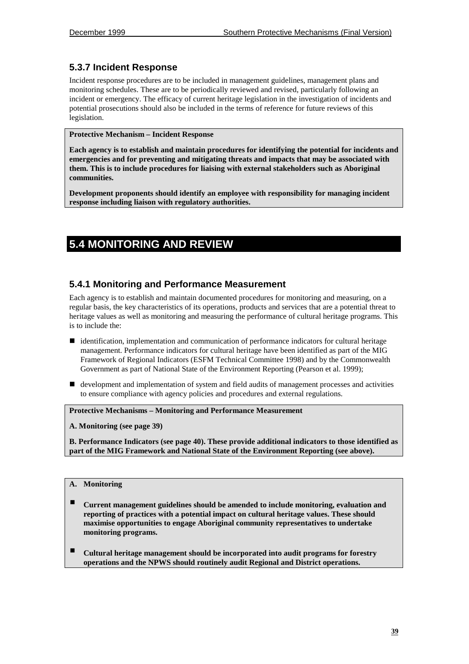## **5.3.7 Incident Response**

Incident response procedures are to be included in management guidelines, management plans and monitoring schedules. These are to be periodically reviewed and revised, particularly following an incident or emergency. The efficacy of current heritage legislation in the investigation of incidents and potential prosecutions should also be included in the terms of reference for future reviews of this legislation.

#### **Protective Mechanism – Incident Response**

**Each agency is to establish and maintain procedures for identifying the potential for incidents and emergencies and for preventing and mitigating threats and impacts that may be associated with them. This is to include procedures for liaising with external stakeholders such as Aboriginal communities.**

**Development proponents should identify an employee with responsibility for managing incident response including liaison with regulatory authorities.**

## **5.4 MONITORING AND REVIEW**

### **5.4.1 Monitoring and Performance Measurement**

Each agency is to establish and maintain documented procedures for monitoring and measuring, on a regular basis, the key characteristics of its operations, products and services that are a potential threat to heritage values as well as monitoring and measuring the performance of cultural heritage programs. This is to include the:

- identification, implementation and communication of performance indicators for cultural heritage management. Performance indicators for cultural heritage have been identified as part of the MIG Framework of Regional Indicators (ESFM Technical Committee 1998) and by the Commonwealth Government as part of National State of the Environment Reporting (Pearson et al. 1999);
- ! development and implementation of system and field audits of management processes and activities to ensure compliance with agency policies and procedures and external regulations.

**Protective Mechanisms – Monitoring and Performance Measurement**

**A. Monitoring (see page 39)**

**B. Performance Indicators (see page 40). These provide additional indicators to those identified as part of the MIG Framework and National State of the Environment Reporting (see above).**

#### **A. Monitoring**

- " **Current management guidelines should be amended to include monitoring, evaluation and reporting of practices with a potential impact on cultural heritage values. These should maximise opportunities to engage Aboriginal community representatives to undertake monitoring programs.**
- " **Cultural heritage management should be incorporated into audit programs for forestry operations and the NPWS should routinely audit Regional and District operations.**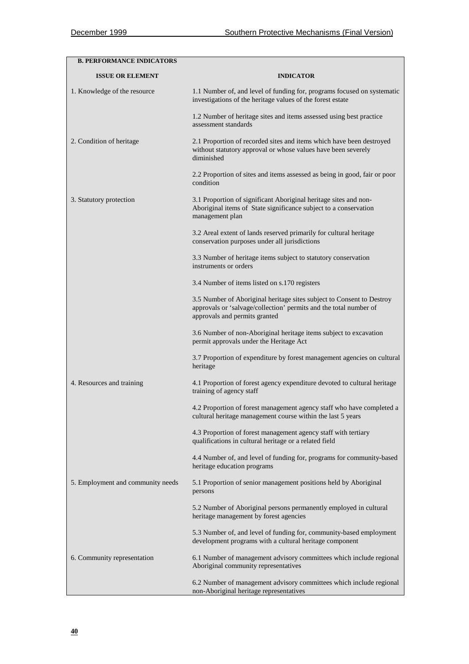| <b>B. PERFORMANCE INDICATORS</b>  |                                                                                                                                                                             |  |
|-----------------------------------|-----------------------------------------------------------------------------------------------------------------------------------------------------------------------------|--|
| <b>ISSUE OR ELEMENT</b>           | <b>INDICATOR</b>                                                                                                                                                            |  |
| 1. Knowledge of the resource      | 1.1 Number of, and level of funding for, programs focused on systematic<br>investigations of the heritage values of the forest estate                                       |  |
|                                   | 1.2 Number of heritage sites and items assessed using best practice<br>assessment standards                                                                                 |  |
| 2. Condition of heritage          | 2.1 Proportion of recorded sites and items which have been destroyed<br>without statutory approval or whose values have been severely<br>diminished                         |  |
|                                   | 2.2 Proportion of sites and items assessed as being in good, fair or poor<br>condition                                                                                      |  |
| 3. Statutory protection           | 3.1 Proportion of significant Aboriginal heritage sites and non-<br>Aboriginal items of State significance subject to a conservation<br>management plan                     |  |
|                                   | 3.2 Areal extent of lands reserved primarily for cultural heritage<br>conservation purposes under all jurisdictions                                                         |  |
|                                   | 3.3 Number of heritage items subject to statutory conservation<br>instruments or orders                                                                                     |  |
|                                   | 3.4 Number of items listed on s.170 registers                                                                                                                               |  |
|                                   | 3.5 Number of Aboriginal heritage sites subject to Consent to Destroy<br>approvals or 'salvage/collection' permits and the total number of<br>approvals and permits granted |  |
|                                   | 3.6 Number of non-Aboriginal heritage items subject to excavation<br>permit approvals under the Heritage Act                                                                |  |
|                                   | 3.7 Proportion of expenditure by forest management agencies on cultural<br>heritage                                                                                         |  |
| 4. Resources and training         | 4.1 Proportion of forest agency expenditure devoted to cultural heritage<br>training of agency staff                                                                        |  |
|                                   | 4.2 Proportion of forest management agency staff who have completed a<br>cultural heritage management course within the last 5 years                                        |  |
|                                   | 4.3 Proportion of forest management agency staff with tertiary<br>qualifications in cultural heritage or a related field                                                    |  |
|                                   | 4.4 Number of, and level of funding for, programs for community-based<br>heritage education programs                                                                        |  |
| 5. Employment and community needs | 5.1 Proportion of senior management positions held by Aboriginal<br>persons                                                                                                 |  |
|                                   | 5.2 Number of Aboriginal persons permanently employed in cultural<br>heritage management by forest agencies                                                                 |  |
|                                   | 5.3 Number of, and level of funding for, community-based employment<br>development programs with a cultural heritage component                                              |  |
| 6. Community representation       | 6.1 Number of management advisory committees which include regional<br>Aboriginal community representatives                                                                 |  |
|                                   | 6.2 Number of management advisory committees which include regional<br>non-Aboriginal heritage representatives                                                              |  |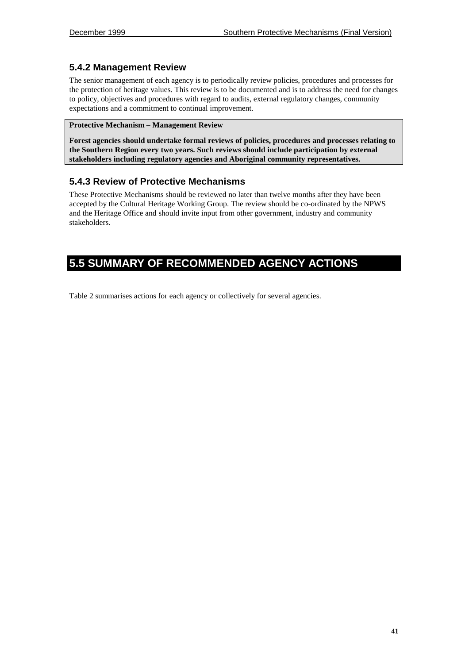## **5.4.2 Management Review**

The senior management of each agency is to periodically review policies, procedures and processes for the protection of heritage values. This review is to be documented and is to address the need for changes to policy, objectives and procedures with regard to audits, external regulatory changes, community expectations and a commitment to continual improvement.

#### **Protective Mechanism – Management Review**

**Forest agencies should undertake formal reviews of policies, procedures and processes relating to the Southern Region every two years. Such reviews should include participation by external stakeholders including regulatory agencies and Aboriginal community representatives.**

## **5.4.3 Review of Protective Mechanisms**

These Protective Mechanisms should be reviewed no later than twelve months after they have been accepted by the Cultural Heritage Working Group. The review should be co-ordinated by the NPWS and the Heritage Office and should invite input from other government, industry and community stakeholders.

## **5.5 SUMMARY OF RECOMMENDED AGENCY ACTIONS**

Table 2 summarises actions for each agency or collectively for several agencies.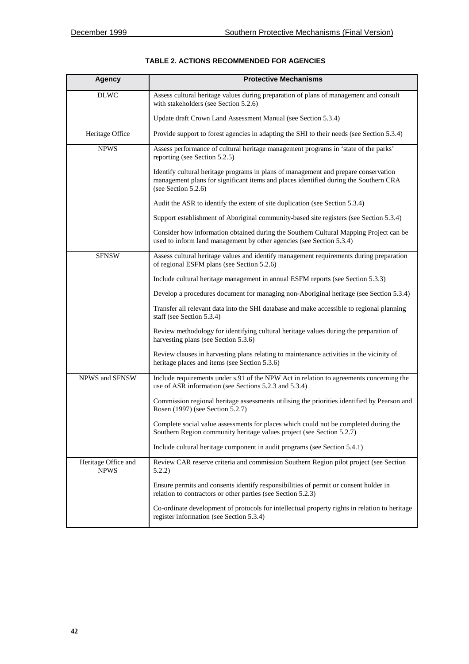| <b>Agency</b>                      | <b>Protective Mechanisms</b>                                                                                                                                                                       |  |  |
|------------------------------------|----------------------------------------------------------------------------------------------------------------------------------------------------------------------------------------------------|--|--|
| <b>DLWC</b>                        | Assess cultural heritage values during preparation of plans of management and consult<br>with stakeholders (see Section 5.2.6)                                                                     |  |  |
|                                    | Update draft Crown Land Assessment Manual (see Section 5.3.4)                                                                                                                                      |  |  |
| Heritage Office                    | Provide support to forest agencies in adapting the SHI to their needs (see Section 5.3.4)                                                                                                          |  |  |
| <b>NPWS</b>                        | Assess performance of cultural heritage management programs in 'state of the parks'<br>reporting (see Section 5.2.5)                                                                               |  |  |
|                                    | Identify cultural heritage programs in plans of management and prepare conservation<br>management plans for significant items and places identified during the Southern CRA<br>(see Section 5.2.6) |  |  |
|                                    | Audit the ASR to identify the extent of site duplication (see Section 5.3.4)                                                                                                                       |  |  |
|                                    | Support establishment of Aboriginal community-based site registers (see Section 5.3.4)                                                                                                             |  |  |
|                                    | Consider how information obtained during the Southern Cultural Mapping Project can be<br>used to inform land management by other agencies (see Section 5.3.4)                                      |  |  |
| <b>SFNSW</b>                       | Assess cultural heritage values and identify management requirements during preparation<br>of regional ESFM plans (see Section 5.2.6)                                                              |  |  |
|                                    | Include cultural heritage management in annual ESFM reports (see Section 5.3.3)                                                                                                                    |  |  |
|                                    | Develop a procedures document for managing non-Aboriginal heritage (see Section 5.3.4)                                                                                                             |  |  |
|                                    | Transfer all relevant data into the SHI database and make accessible to regional planning<br>staff (see Section 5.3.4)                                                                             |  |  |
|                                    | Review methodology for identifying cultural heritage values during the preparation of<br>harvesting plans (see Section 5.3.6)                                                                      |  |  |
|                                    | Review clauses in harvesting plans relating to maintenance activities in the vicinity of<br>heritage places and items (see Section 5.3.6)                                                          |  |  |
| NPWS and SFNSW                     | Include requirements under s.91 of the NPW Act in relation to agreements concerning the<br>use of ASR information (see Sections 5.2.3 and 5.3.4)                                                   |  |  |
|                                    | Commission regional heritage assessments utilising the priorities identified by Pearson and<br>Rosen (1997) (see Section 5.2.7)                                                                    |  |  |
|                                    | Complete social value assessments for places which could not be completed during the<br>Southern Region community heritage values project (see Section 5.2.7)                                      |  |  |
|                                    | Include cultural heritage component in audit programs (see Section 5.4.1)                                                                                                                          |  |  |
| Heritage Office and<br><b>NPWS</b> | Review CAR reserve criteria and commission Southern Region pilot project (see Section<br>5.2.2)                                                                                                    |  |  |
|                                    | Ensure permits and consents identify responsibilities of permit or consent holder in<br>relation to contractors or other parties (see Section 5.2.3)                                               |  |  |
|                                    | Co-ordinate development of protocols for intellectual property rights in relation to heritage<br>register information (see Section 5.3.4)                                                          |  |  |

## **TABLE 2. ACTIONS RECOMMENDED FOR AGENCIES**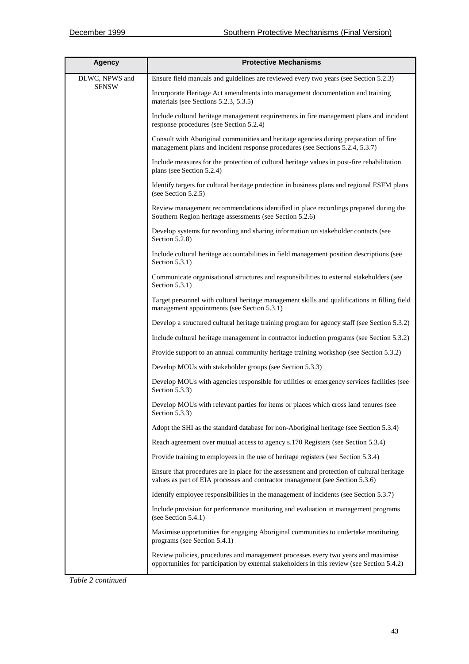| <b>Agency</b>                  | <b>Protective Mechanisms</b>                                                                                                                                                     |  |  |
|--------------------------------|----------------------------------------------------------------------------------------------------------------------------------------------------------------------------------|--|--|
| DLWC, NPWS and<br><b>SFNSW</b> | Ensure field manuals and guidelines are reviewed every two years (see Section 5.2.3)                                                                                             |  |  |
|                                | Incorporate Heritage Act amendments into management documentation and training<br>materials (see Sections 5.2.3, 5.3.5)                                                          |  |  |
|                                | Include cultural heritage management requirements in fire management plans and incident<br>response procedures (see Section 5.2.4)                                               |  |  |
|                                | Consult with Aboriginal communities and heritage agencies during preparation of fire<br>management plans and incident response procedures (see Sections 5.2.4, 5.3.7)            |  |  |
|                                | Include measures for the protection of cultural heritage values in post-fire rehabilitation<br>plans (see Section 5.2.4)                                                         |  |  |
|                                | Identify targets for cultural heritage protection in business plans and regional ESFM plans<br>(see Section 5.2.5)                                                               |  |  |
|                                | Review management recommendations identified in place recordings prepared during the<br>Southern Region heritage assessments (see Section 5.2.6)                                 |  |  |
|                                | Develop systems for recording and sharing information on stakeholder contacts (see<br>Section 5.2.8)                                                                             |  |  |
|                                | Include cultural heritage accountabilities in field management position descriptions (see<br>Section $5.3.1$ )                                                                   |  |  |
|                                | Communicate organisational structures and responsibilities to external stakeholders (see<br>Section $5.3.1$ )                                                                    |  |  |
|                                | Target personnel with cultural heritage management skills and qualifications in filling field<br>management appointments (see Section 5.3.1)                                     |  |  |
|                                | Develop a structured cultural heritage training program for agency staff (see Section 5.3.2)                                                                                     |  |  |
|                                | Include cultural heritage management in contractor induction programs (see Section 5.3.2)                                                                                        |  |  |
|                                | Provide support to an annual community heritage training workshop (see Section 5.3.2)                                                                                            |  |  |
|                                | Develop MOUs with stakeholder groups (see Section 5.3.3)                                                                                                                         |  |  |
|                                | Develop MOUs with agencies responsible for utilities or emergency services facilities (see<br>Section 5.3.3)                                                                     |  |  |
|                                | Develop MOUs with relevant parties for items or places which cross land tenures (see<br>Section $5.3.3$ )                                                                        |  |  |
|                                | Adopt the SHI as the standard database for non-Aboriginal heritage (see Section 5.3.4)                                                                                           |  |  |
|                                | Reach agreement over mutual access to agency s.170 Registers (see Section 5.3.4)                                                                                                 |  |  |
|                                | Provide training to employees in the use of heritage registers (see Section 5.3.4)                                                                                               |  |  |
|                                | Ensure that procedures are in place for the assessment and protection of cultural heritage<br>values as part of EIA processes and contractor management (see Section 5.3.6)      |  |  |
|                                | Identify employee responsibilities in the management of incidents (see Section 5.3.7)                                                                                            |  |  |
|                                | Include provision for performance monitoring and evaluation in management programs<br>(see Section $5.4.1$ )                                                                     |  |  |
|                                | Maximise opportunities for engaging Aboriginal communities to undertake monitoring<br>programs (see Section 5.4.1)                                                               |  |  |
|                                | Review policies, procedures and management processes every two years and maximise<br>opportunities for participation by external stakeholders in this review (see Section 5.4.2) |  |  |

*Table 2 continued*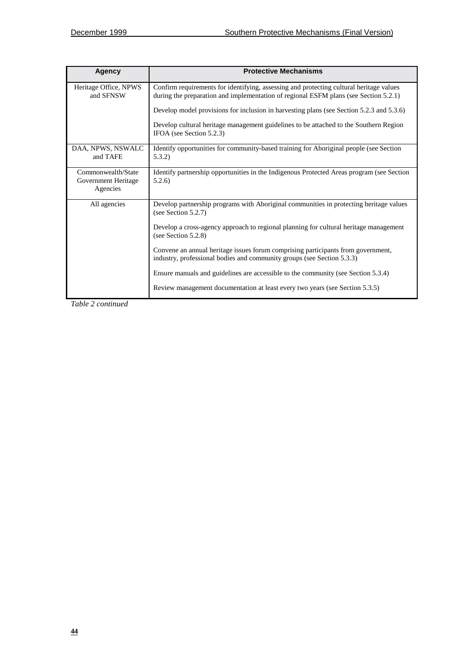| Agency                                                | <b>Protective Mechanisms</b>                                                                                                                                                    |
|-------------------------------------------------------|---------------------------------------------------------------------------------------------------------------------------------------------------------------------------------|
| Heritage Office, NPWS<br>and SFNSW                    | Confirm requirements for identifying, assessing and protecting cultural heritage values<br>during the preparation and implementation of regional ESFM plans (see Section 5.2.1) |
|                                                       | Develop model provisions for inclusion in harvesting plans (see Section 5.2.3 and 5.3.6)                                                                                        |
|                                                       | Develop cultural heritage management guidelines to be attached to the Southern Region<br>IFOA (see Section 5.2.3)                                                               |
| DAA, NPWS, NSWALC<br>and TAFE                         | Identify opportunities for community-based training for Aboriginal people (see Section<br>5.3.2)                                                                                |
| Commonwealth/State<br>Government Heritage<br>Agencies | Identify partnership opportunities in the Indigenous Protected Areas program (see Section<br>5.2.6                                                                              |
| All agencies                                          | Develop partnership programs with Aboriginal communities in protecting heritage values<br>(see Section $5.2.7$ )                                                                |
|                                                       | Develop a cross-agency approach to regional planning for cultural heritage management<br>(see Section $5.2.8$ )                                                                 |
|                                                       | Convene an annual heritage issues forum comprising participants from government,<br>industry, professional bodies and community groups (see Section 5.3.3)                      |
|                                                       | Ensure manuals and guidelines are accessible to the community (see Section 5.3.4)                                                                                               |
|                                                       | Review management documentation at least every two years (see Section 5.3.5)                                                                                                    |

*Table 2 continued*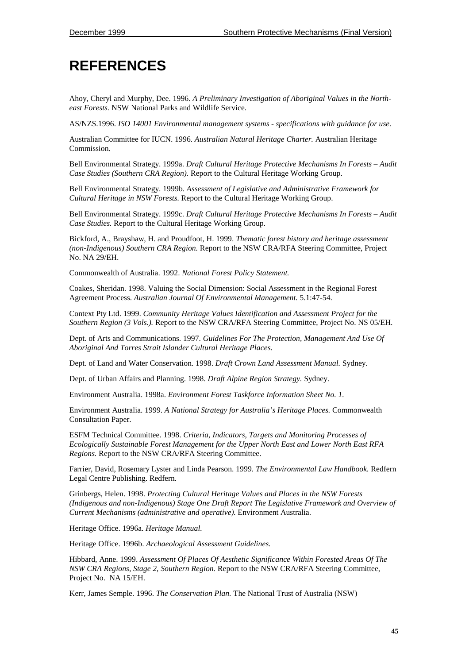# **REFERENCES**

Ahoy, Cheryl and Murphy, Dee. 1996. *A Preliminary Investigation of Aboriginal Values in the Northeast Forests.* NSW National Parks and Wildlife Service.

AS/NZS.1996. *ISO 14001 Environmental management systems - specifications with guidance for use.*

Australian Committee for IUCN. 1996. *Australian Natural Heritage Charter.* Australian Heritage Commission.

Bell Environmental Strategy. 1999a. *Draft Cultural Heritage Protective Mechanisms In Forests – Audit Case Studies (Southern CRA Region).* Report to the Cultural Heritage Working Group.

Bell Environmental Strategy. 1999b. *Assessment of Legislative and Administrative Framework for Cultural Heritage in NSW Forests.* Report to the Cultural Heritage Working Group.

Bell Environmental Strategy. 1999c. *Draft Cultural Heritage Protective Mechanisms In Forests – Audit Case Studies.* Report to the Cultural Heritage Working Group.

Bickford, A., Brayshaw, H. and Proudfoot, H. 1999. *Thematic forest history and heritage assessment (non-Indigenous) Southern CRA Region.* Report to the NSW CRA/RFA Steering Committee, Project No. NA 29/EH.

Commonwealth of Australia. 1992. *National Forest Policy Statement.*

Coakes, Sheridan. 1998. Valuing the Social Dimension: Social Assessment in the Regional Forest Agreement Process. *Australian Journal Of Environmental Management.* 5.1:47-54.

Context Pty Ltd. 1999. *Community Heritage Values Identification and Assessment Project for the Southern Region (3 Vols.).* Report to the NSW CRA/RFA Steering Committee, Project No. NS 05/EH.

Dept. of Arts and Communications. 1997. *Guidelines For The Protection, Management And Use Of Aboriginal And Torres Strait Islander Cultural Heritage Places.*

Dept. of Land and Water Conservation. 1998. *Draft Crown Land Assessment Manual.* Sydney.

Dept. of Urban Affairs and Planning. 1998. *Draft Alpine Region Strategy.* Sydney.

Environment Australia. 1998a. *Environment Forest Taskforce Information Sheet No. 1.*

Environment Australia. 1999. *A National Strategy for Australia's Heritage Places.* Commonwealth Consultation Paper.

ESFM Technical Committee. 1998. *Criteria, Indicators, Targets and Monitoring Processes of Ecologically Sustainable Forest Management for the Upper North East and Lower North East RFA Regions.* Report to the NSW CRA/RFA Steering Committee.

Farrier, David, Rosemary Lyster and Linda Pearson. 1999. *The Environmental Law Handbook.* Redfern Legal Centre Publishing. Redfern.

Grinbergs, Helen. 1998. *Protecting Cultural Heritage Values and Places in the NSW Forests (Indigenous and non-Indigenous) Stage One Draft Report The Legislative Framework and Overview of Current Mechanisms (administrative and operative).* Environment Australia.

Heritage Office. 1996a. *Heritage Manual.*

Heritage Office. 1996b. *Archaeological Assessment Guidelines.*

Hibbard, Anne. 1999. *Assessment Of Places Of Aesthetic Significance Within Forested Areas Of The NSW CRA Regions, Stage 2, Southern Region.* Report to the NSW CRA/RFA Steering Committee, Project No. NA 15/EH.

Kerr, James Semple. 1996. *The Conservation Plan.* The National Trust of Australia (NSW)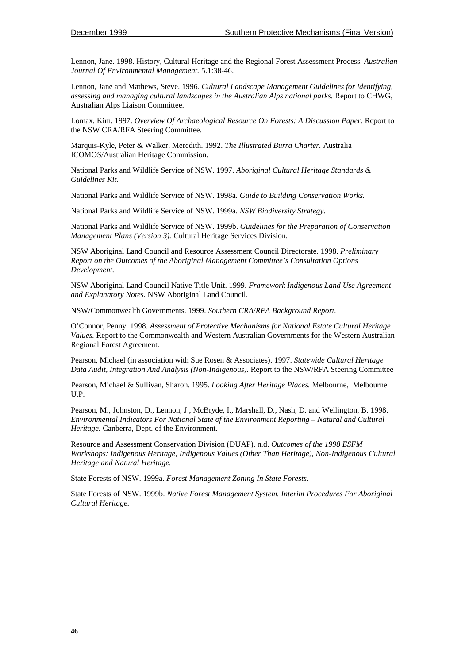Lennon, Jane. 1998. History, Cultural Heritage and the Regional Forest Assessment Process. *Australian Journal Of Environmental Management.* 5.1:38-46.

Lennon, Jane and Mathews, Steve. 1996. *Cultural Landscape Management Guidelines for identifying, assessing and managing cultural landscapes in the Australian Alps national parks.* Report to CHWG, Australian Alps Liaison Committee.

Lomax, Kim. 1997. *Overview Of Archaeological Resource On Forests: A Discussion Paper.* Report to the NSW CRA/RFA Steering Committee.

Marquis-Kyle, Peter & Walker, Meredith. 1992. *The Illustrated Burra Charter.* Australia ICOMOS/Australian Heritage Commission.

National Parks and Wildlife Service of NSW. 1997. *Aboriginal Cultural Heritage Standards & Guidelines Kit.*

National Parks and Wildlife Service of NSW. 1998a. *Guide to Building Conservation Works.*

National Parks and Wildlife Service of NSW. 1999a. *NSW Biodiversity Strategy.*

National Parks and Wildlife Service of NSW. 1999b. *Guidelines for the Preparation of Conservation Management Plans (Version 3).* Cultural Heritage Services Division.

NSW Aboriginal Land Council and Resource Assessment Council Directorate. 1998. *Preliminary Report on the Outcomes of the Aboriginal Management Committee's Consultation Options Development.*

NSW Aboriginal Land Council Native Title Unit. 1999. *Framework Indigenous Land Use Agreement and Explanatory Notes.* NSW Aboriginal Land Council.

NSW/Commonwealth Governments. 1999. *Southern CRA/RFA Background Report.*

O'Connor, Penny. 1998. *Assessment of Protective Mechanisms for National Estate Cultural Heritage Values.* Report to the Commonwealth and Western Australian Governments for the Western Australian Regional Forest Agreement.

Pearson, Michael (in association with Sue Rosen & Associates). 1997. *Statewide Cultural Heritage Data Audit, Integration And Analysis (Non-Indigenous)*. Report to the NSW/RFA Steering Committee

Pearson, Michael & Sullivan, Sharon. 1995. *Looking After Heritage Places.* Melbourne, Melbourne U.P.

Pearson, M., Johnston, D., Lennon, J., McBryde, I., Marshall, D., Nash, D. and Wellington, B. 1998. *Environmental Indicators For National State of the Environment Reporting – Natural and Cultural Heritage.* Canberra, Dept. of the Environment.

Resource and Assessment Conservation Division (DUAP). n.d. *Outcomes of the 1998 ESFM Workshops: Indigenous Heritage, Indigenous Values (Other Than Heritage), Non-Indigenous Cultural Heritage and Natural Heritage.*

State Forests of NSW. 1999a. *Forest Management Zoning In State Forests.*

State Forests of NSW. 1999b. *Native Forest Management System. Interim Procedures For Aboriginal Cultural Heritage.*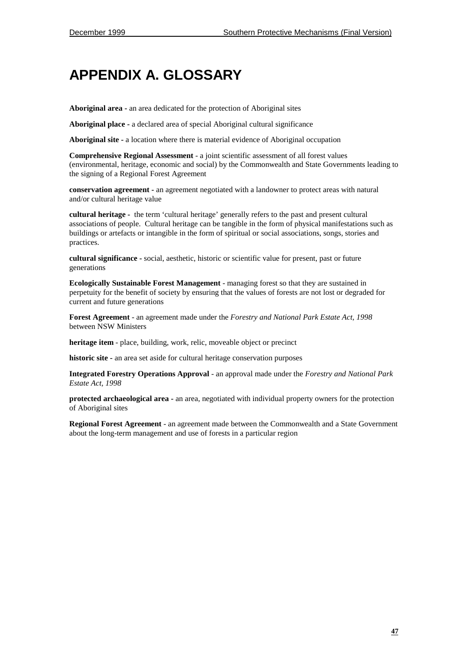# **APPENDIX A. GLOSSARY**

**Aboriginal area -** an area dedicated for the protection of Aboriginal sites

**Aboriginal place -** a declared area of special Aboriginal cultural significance

**Aboriginal site -** a location where there is material evidence of Aboriginal occupation

**Comprehensive Regional Assessment** - a joint scientific assessment of all forest values (environmental, heritage, economic and social) by the Commonwealth and State Governments leading to the signing of a Regional Forest Agreement

**conservation agreement -** an agreement negotiated with a landowner to protect areas with natural and/or cultural heritage value

**cultural heritage -** the term 'cultural heritage' generally refers to the past and present cultural associations of people. Cultural heritage can be tangible in the form of physical manifestations such as buildings or artefacts or intangible in the form of spiritual or social associations, songs, stories and practices.

**cultural significance -** social, aesthetic, historic or scientific value for present, past or future generations

**Ecologically Sustainable Forest Management** - managing forest so that they are sustained in perpetuity for the benefit of society by ensuring that the values of forests are not lost or degraded for current and future generations

**Forest Agreement** - an agreement made under the *Forestry and National Park Estate Act, 1998* between NSW Ministers

**heritage item** - place, building, work, relic, moveable object or precinct

**historic site -** an area set aside for cultural heritage conservation purposes

**Integrated Forestry Operations Approval** - an approval made under the *Forestry and National Park Estate Act, 1998*

**protected archaeological area -** an area, negotiated with individual property owners for the protection of Aboriginal sites

**Regional Forest Agreement** - an agreement made between the Commonwealth and a State Government about the long-term management and use of forests in a particular region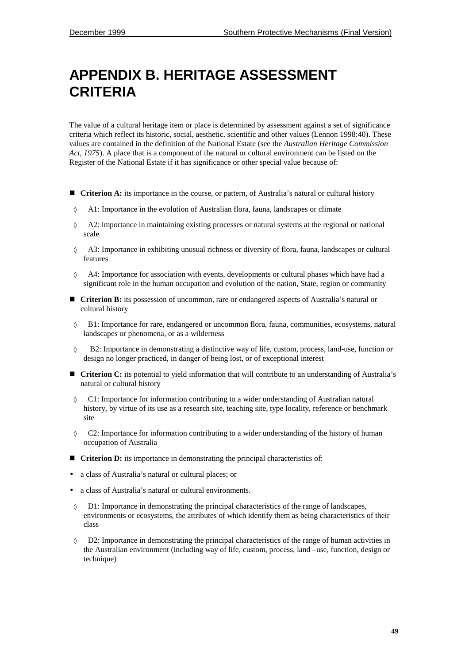# **APPENDIX B. HERITAGE ASSESSMENT CRITERIA**

The value of a cultural heritage item or place is determined by assessment against a set of significance criteria which reflect its historic, social, aesthetic, scientific and other values (Lennon 1998:40). These values are contained in the definition of the National Estate (see the *Australian Heritage Commission Act, 1975*). A place that is a component of the natural or cultural environment can be listed on the Register of the National Estate if it has significance or other special value because of:

- $\blacksquare$  Criterion A: its importance in the course, or pattern, of Australia's natural or cultural history
- ◊ A1: Importance in the evolution of Australian flora, fauna, landscapes or climate
- ◊ A2: importance in maintaining existing processes or natural systems at the regional or national scale
- ◊ A3: Importance in exhibiting unusual richness or diversity of flora, fauna, landscapes or cultural features
- ◊ A4: Importance for association with events, developments or cultural phases which have had a significant role in the human occupation and evolution of the nation, State, region or community
- **Texture 1 Criterion B:** its possession of uncommon, rare or endangered aspects of Australia's natural or cultural history
- ◊ B1: Importance for rare, endangered or uncommon flora, fauna, communities, ecosystems, natural landscapes or phenomena, or as a wilderness
- ◊ B2: Importance in demonstrating a distinctive way of life, custom, process, land-use, function or design no longer practiced, in danger of being lost, or of exceptional interest
- **Criterion C:** its potential to yield information that will contribute to an understanding of Australia's natural or cultural history
- ◊ C1: Importance for information contributing to a wider understanding of Australian natural history, by virtue of its use as a research site, teaching site, type locality, reference or benchmark site
- ◊ C2: Importance for information contributing to a wider understanding of the history of human occupation of Australia
- **Criterion D:** its importance in demonstrating the principal characteristics of:
- a class of Australia's natural or cultural places; or
- a class of Australia's natural or cultural environments.
- ◊ D1: Importance in demonstrating the principal characteristics of the range of landscapes, environments or ecosystems, the attributes of which identify them as being characteristics of their class
- ◊ D2: Importance in demonstrating the principal characteristics of the range of human activities in the Australian environment (including way of life, custom, process, land –use, function, design or technique)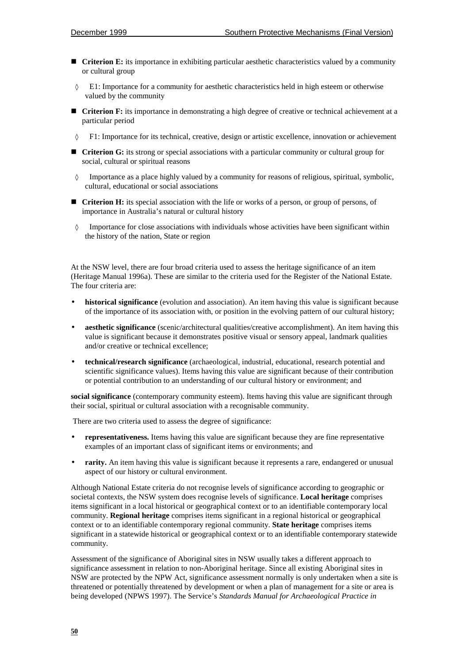- **Criterion E:** its importance in exhibiting particular aesthetic characteristics valued by a community or cultural group
- ◊ E1: Importance for a community for aesthetic characteristics held in high esteem or otherwise valued by the community
- **Exercise 1: Criterion F:** its importance in demonstrating a high degree of creative or technical achievement at a particular period
- ◊ F1: Importance for its technical, creative, design or artistic excellence, innovation or achievement
- $\blacksquare$  Criterion G: its strong or special associations with a particular community or cultural group for social, cultural or spiritual reasons
- Importance as a place highly valued by a community for reasons of religious, spiritual, symbolic, cultural, educational or social associations
- **Texture 1**: its special association with the life or works of a person, or group of persons, of importance in Australia's natural or cultural history
- ◊ Importance for close associations with individuals whose activities have been significant within the history of the nation, State or region

At the NSW level, there are four broad criteria used to assess the heritage significance of an item (Heritage Manual 1996a). These are similar to the criteria used for the Register of the National Estate. The four criteria are:

- **historical significance** (evolution and association). An item having this value is significant because of the importance of its association with, or position in the evolving pattern of our cultural history;
- **aesthetic significance** (scenic/architectural qualities/creative accomplishment). An item having this value is significant because it demonstrates positive visual or sensory appeal, landmark qualities and/or creative or technical excellence;
- **technical/research significance** (archaeological, industrial, educational, research potential and scientific significance values). Items having this value are significant because of their contribution or potential contribution to an understanding of our cultural history or environment; and

**social significance** (contemporary community esteem). Items having this value are significant through their social, spiritual or cultural association with a recognisable community.

There are two criteria used to assess the degree of significance:

- **representativeness.** Items having this value are significant because they are fine representative examples of an important class of significant items or environments; and
- **rarity.** An item having this value is significant because it represents a rare, endangered or unusual aspect of our history or cultural environment.

Although National Estate criteria do not recognise levels of significance according to geographic or societal contexts, the NSW system does recognise levels of significance. **Local heritage** comprises items significant in a local historical or geographical context or to an identifiable contemporary local community. **Regional heritage** comprises items significant in a regional historical or geographical context or to an identifiable contemporary regional community. **State heritage** comprises items significant in a statewide historical or geographical context or to an identifiable contemporary statewide community.

Assessment of the significance of Aboriginal sites in NSW usually takes a different approach to significance assessment in relation to non-Aboriginal heritage. Since all existing Aboriginal sites in NSW are protected by the NPW Act, significance assessment normally is only undertaken when a site is threatened or potentially threatened by development or when a plan of management for a site or area is being developed (NPWS 1997). The Service's *Standards Manual for Archaeological Practice in*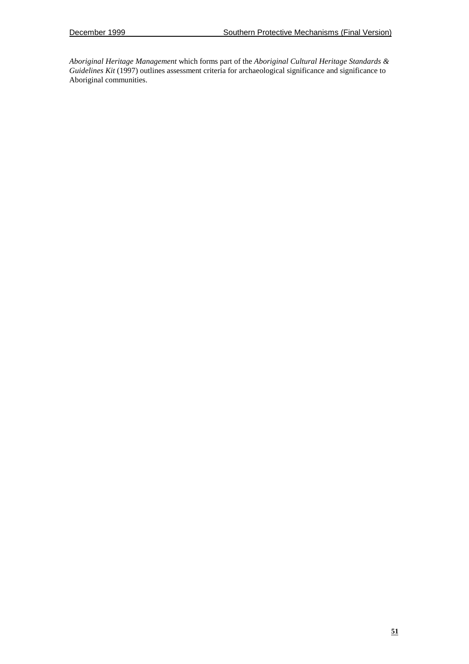*Aboriginal Heritage Management* which forms part of the *Aboriginal Cultural Heritage Standards & Guidelines Kit* (1997) outlines assessment criteria for archaeological significance and significance to Aboriginal communities.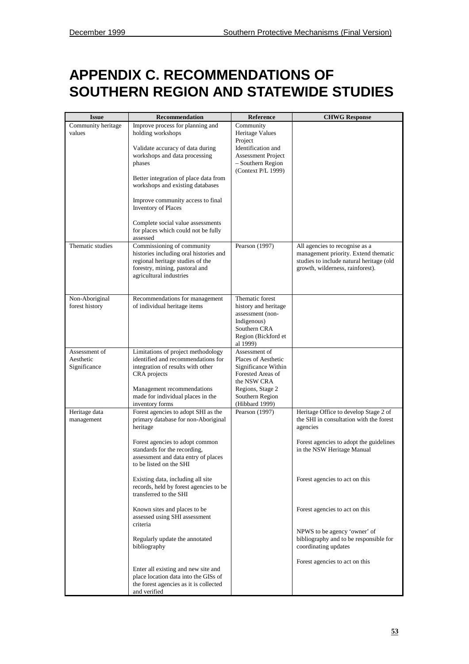# **APPENDIX C. RECOMMENDATIONS OF SOUTHERN REGION AND STATEWIDE STUDIES**

| <b>Issue</b>                               | <b>Recommendation</b>                                                                                                                                                                                                                                                                                                                                                        | Reference                                                                                                                                                | <b>CHWG Response</b>                                                                                                                                                  |
|--------------------------------------------|------------------------------------------------------------------------------------------------------------------------------------------------------------------------------------------------------------------------------------------------------------------------------------------------------------------------------------------------------------------------------|----------------------------------------------------------------------------------------------------------------------------------------------------------|-----------------------------------------------------------------------------------------------------------------------------------------------------------------------|
| Community heritage<br>values               | Improve process for planning and<br>holding workshops<br>Validate accuracy of data during<br>workshops and data processing<br>phases<br>Better integration of place data from<br>workshops and existing databases<br>Improve community access to final<br><b>Inventory of Places</b><br>Complete social value assessments<br>for places which could not be fully<br>assessed | Community<br><b>Heritage Values</b><br>Project<br>Identification and<br><b>Assessment Project</b><br>- Southern Region<br>(Context P/L 1999)             |                                                                                                                                                                       |
| Thematic studies                           | Commissioning of community<br>histories including oral histories and<br>regional heritage studies of the<br>forestry, mining, pastoral and<br>agricultural industries                                                                                                                                                                                                        | Pearson (1997)                                                                                                                                           | All agencies to recognise as a<br>management priority. Extend thematic<br>studies to include natural heritage (old<br>growth, wilderness, rainforest).                |
| Non-Aboriginal<br>forest history           | Recommendations for management<br>of individual heritage items                                                                                                                                                                                                                                                                                                               | Thematic forest<br>history and heritage<br>assessment (non-<br>Indigenous)<br>Southern CRA<br>Region (Bickford et<br>al 1999)                            |                                                                                                                                                                       |
| Assessment of<br>Aesthetic<br>Significance | Limitations of project methodology<br>identified and recommendations for<br>integration of results with other<br>CRA projects<br>Management recommendations<br>made for individual places in the<br>inventory forms                                                                                                                                                          | Assessment of<br>Places of Aesthetic<br>Significance Within<br>Forested Areas of<br>the NSW CRA<br>Regions, Stage 2<br>Southern Region<br>(Hibbard 1999) |                                                                                                                                                                       |
| Heritage data<br>management                | Forest agencies to adopt SHI as the<br>primary database for non-Aboriginal<br>heritage<br>Forest agencies to adopt common<br>standards for the recording,<br>assessment and data entry of places                                                                                                                                                                             | Pearson (1997)                                                                                                                                           | Heritage Office to develop Stage 2 of<br>the SHI in consultation with the forest<br>agencies<br>Forest agencies to adopt the guidelines<br>in the NSW Heritage Manual |
|                                            | to be listed on the SHI<br>Existing data, including all site<br>records, held by forest agencies to be<br>transferred to the SHI                                                                                                                                                                                                                                             |                                                                                                                                                          | Forest agencies to act on this                                                                                                                                        |
|                                            | Known sites and places to be<br>assessed using SHI assessment<br>criteria                                                                                                                                                                                                                                                                                                    |                                                                                                                                                          | Forest agencies to act on this                                                                                                                                        |
|                                            | Regularly update the annotated<br>bibliography                                                                                                                                                                                                                                                                                                                               |                                                                                                                                                          | NPWS to be agency 'owner' of<br>bibliography and to be responsible for<br>coordinating updates                                                                        |
|                                            | Enter all existing and new site and<br>place location data into the GISs of<br>the forest agencies as it is collected<br>and verified                                                                                                                                                                                                                                        |                                                                                                                                                          | Forest agencies to act on this                                                                                                                                        |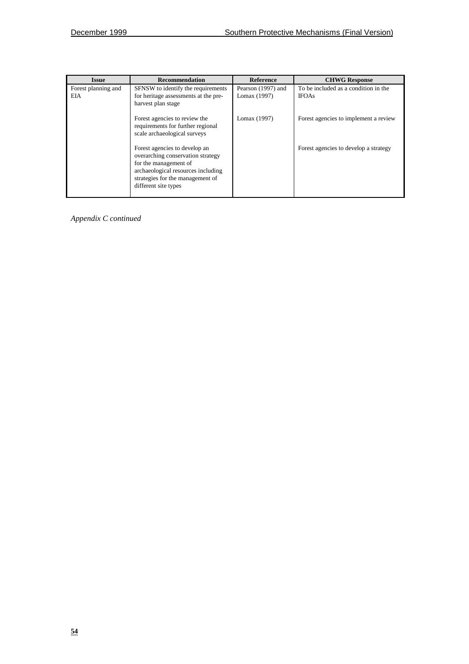| Issue                             | <b>Recommendation</b>                                                                                                                                                                         | <b>Reference</b>                   | <b>CHWG Response</b>                                 |
|-----------------------------------|-----------------------------------------------------------------------------------------------------------------------------------------------------------------------------------------------|------------------------------------|------------------------------------------------------|
| Forest planning and<br><b>EIA</b> | SFNSW to identify the requirements<br>for heritage assessments at the pre-<br>harvest plan stage                                                                                              | Pearson (1997) and<br>Lomax (1997) | To be included as a condition in the<br><b>IFOAs</b> |
|                                   | Forest agencies to review the<br>requirements for further regional<br>scale archaeological surveys                                                                                            | Lomax (1997)                       | Forest agencies to implement a review                |
|                                   | Forest agencies to develop an<br>overarching conservation strategy<br>for the management of<br>archaeological resources including<br>strategies for the management of<br>different site types |                                    | Forest agencies to develop a strategy                |

*Appendix C continued*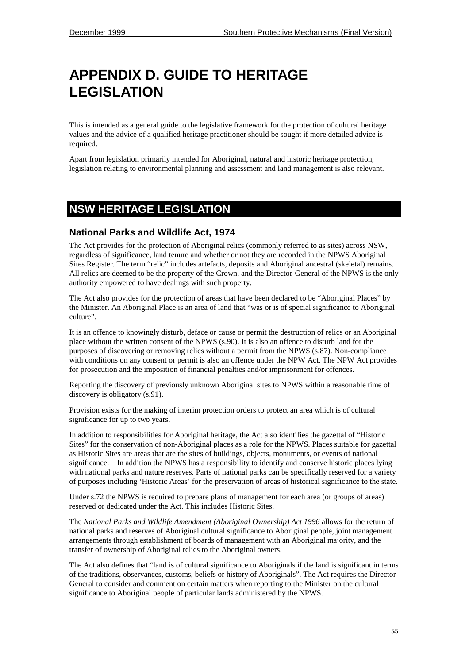# **APPENDIX D. GUIDE TO HERITAGE LEGISLATION**

This is intended as a general guide to the legislative framework for the protection of cultural heritage values and the advice of a qualified heritage practitioner should be sought if more detailed advice is required.

Apart from legislation primarily intended for Aboriginal, natural and historic heritage protection, legislation relating to environmental planning and assessment and land management is also relevant.

## **NSW HERITAGE LEGISLATION**

### **National Parks and Wildlife Act, 1974**

The Act provides for the protection of Aboriginal relics (commonly referred to as sites) across NSW, regardless of significance, land tenure and whether or not they are recorded in the NPWS Aboriginal Sites Register. The term "relic" includes artefacts, deposits and Aboriginal ancestral (skeletal) remains. All relics are deemed to be the property of the Crown, and the Director-General of the NPWS is the only authority empowered to have dealings with such property.

The Act also provides for the protection of areas that have been declared to be "Aboriginal Places" by the Minister. An Aboriginal Place is an area of land that "was or is of special significance to Aboriginal culture".

It is an offence to knowingly disturb, deface or cause or permit the destruction of relics or an Aboriginal place without the written consent of the NPWS (s.90). It is also an offence to disturb land for the purposes of discovering or removing relics without a permit from the NPWS (s.87). Non-compliance with conditions on any consent or permit is also an offence under the NPW Act. The NPW Act provides for prosecution and the imposition of financial penalties and/or imprisonment for offences.

Reporting the discovery of previously unknown Aboriginal sites to NPWS within a reasonable time of discovery is obligatory (s.91).

Provision exists for the making of interim protection orders to protect an area which is of cultural significance for up to two years.

In addition to responsibilities for Aboriginal heritage, the Act also identifies the gazettal of "Historic Sites" for the conservation of non-Aboriginal places as a role for the NPWS. Places suitable for gazettal as Historic Sites are areas that are the sites of buildings, objects, monuments, or events of national significance. In addition the NPWS has a responsibility to identify and conserve historic places lying with national parks and nature reserves. Parts of national parks can be specifically reserved for a variety of purposes including 'Historic Areas' for the preservation of areas of historical significance to the state.

Under s.72 the NPWS is required to prepare plans of management for each area (or groups of areas) reserved or dedicated under the Act. This includes Historic Sites.

The *National Parks and Wildlife Amendment (Aboriginal Ownership) Act 1996* allows for the return of national parks and reserves of Aboriginal cultural significance to Aboriginal people, joint management arrangements through establishment of boards of management with an Aboriginal majority, and the transfer of ownership of Aboriginal relics to the Aboriginal owners.

The Act also defines that "land is of cultural significance to Aboriginals if the land is significant in terms of the traditions, observances, customs, beliefs or history of Aboriginals". The Act requires the Director-General to consider and comment on certain matters when reporting to the Minister on the cultural significance to Aboriginal people of particular lands administered by the NPWS.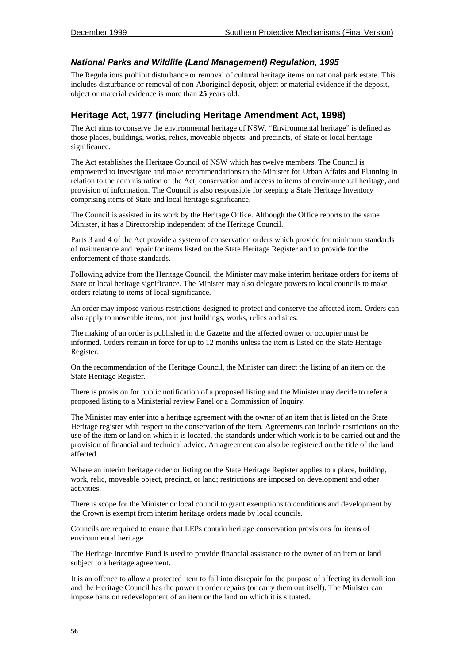### *National Parks and Wildlife (Land Management) Regulation, 1995*

The Regulations prohibit disturbance or removal of cultural heritage items on national park estate. This includes disturbance or removal of non-Aboriginal deposit, object or material evidence if the deposit, object or material evidence is more than **25** years old.

## **Heritage Act, 1977 (including Heritage Amendment Act, 1998)**

The Act aims to conserve the environmental heritage of NSW. "Environmental heritage" is defined as those places, buildings, works, relics, moveable objects, and precincts, of State or local heritage significance.

The Act establishes the Heritage Council of NSW which has twelve members. The Council is empowered to investigate and make recommendations to the Minister for Urban Affairs and Planning in relation to the administration of the Act, conservation and access to items of environmental heritage, and provision of information. The Council is also responsible for keeping a State Heritage Inventory comprising items of State and local heritage significance.

The Council is assisted in its work by the Heritage Office. Although the Office reports to the same Minister, it has a Directorship independent of the Heritage Council.

Parts 3 and 4 of the Act provide a system of conservation orders which provide for minimum standards of maintenance and repair for items listed on the State Heritage Register and to provide for the enforcement of those standards.

Following advice from the Heritage Council, the Minister may make interim heritage orders for items of State or local heritage significance. The Minister may also delegate powers to local councils to make orders relating to items of local significance.

An order may impose various restrictions designed to protect and conserve the affected item. Orders can also apply to moveable items, not just buildings, works, relics and sites.

The making of an order is published in the Gazette and the affected owner or occupier must be informed. Orders remain in force for up to 12 months unless the item is listed on the State Heritage Register.

On the recommendation of the Heritage Council, the Minister can direct the listing of an item on the State Heritage Register.

There is provision for public notification of a proposed listing and the Minister may decide to refer a proposed listing to a Ministerial review Panel or a Commission of Inquiry.

The Minister may enter into a heritage agreement with the owner of an item that is listed on the State Heritage register with respect to the conservation of the item. Agreements can include restrictions on the use of the item or land on which it is located, the standards under which work is to be carried out and the provision of financial and technical advice. An agreement can also be registered on the title of the land affected.

Where an interim heritage order or listing on the State Heritage Register applies to a place, building, work, relic, moveable object, precinct, or land; restrictions are imposed on development and other activities.

There is scope for the Minister or local council to grant exemptions to conditions and development by the Crown is exempt from interim heritage orders made by local councils.

Councils are required to ensure that LEPs contain heritage conservation provisions for items of environmental heritage.

The Heritage Incentive Fund is used to provide financial assistance to the owner of an item or land subject to a heritage agreement.

It is an offence to allow a protected item to fall into disrepair for the purpose of affecting its demolition and the Heritage Council has the power to order repairs (or carry them out itself). The Minister can impose bans on redevelopment of an item or the land on which it is situated.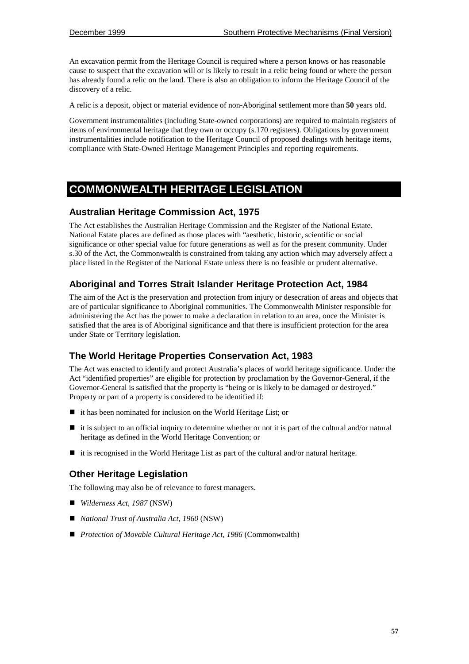An excavation permit from the Heritage Council is required where a person knows or has reasonable cause to suspect that the excavation will or is likely to result in a relic being found or where the person has already found a relic on the land. There is also an obligation to inform the Heritage Council of the discovery of a relic.

A relic is a deposit, object or material evidence of non-Aboriginal settlement more than **50** years old.

Government instrumentalities (including State-owned corporations) are required to maintain registers of items of environmental heritage that they own or occupy (s.170 registers). Obligations by government instrumentalities include notification to the Heritage Council of proposed dealings with heritage items, compliance with State-Owned Heritage Management Principles and reporting requirements.

# **COMMONWEALTH HERITAGE LEGISLATION**

#### **Australian Heritage Commission Act, 1975**

The Act establishes the Australian Heritage Commission and the Register of the National Estate. National Estate places are defined as those places with "aesthetic, historic, scientific or social significance or other special value for future generations as well as for the present community. Under s.30 of the Act, the Commonwealth is constrained from taking any action which may adversely affect a place listed in the Register of the National Estate unless there is no feasible or prudent alternative.

## **Aboriginal and Torres Strait Islander Heritage Protection Act, 1984**

The aim of the Act is the preservation and protection from injury or desecration of areas and objects that are of particular significance to Aboriginal communities. The Commonwealth Minister responsible for administering the Act has the power to make a declaration in relation to an area, once the Minister is satisfied that the area is of Aboriginal significance and that there is insufficient protection for the area under State or Territory legislation.

### **The World Heritage Properties Conservation Act, 1983**

The Act was enacted to identify and protect Australia's places of world heritage significance. Under the Act "identified properties" are eligible for protection by proclamation by the Governor-General, if the Governor-General is satisfied that the property is "being or is likely to be damaged or destroyed." Property or part of a property is considered to be identified if:

- it has been nominated for inclusion on the World Heritage List; or
- $\blacksquare$  it is subject to an official inquiry to determine whether or not it is part of the cultural and/or natural heritage as defined in the World Heritage Convention; or
- it is recognised in the World Heritage List as part of the cultural and/or natural heritage.

### **Other Heritage Legislation**

The following may also be of relevance to forest managers.

- *Wilderness Act, 1987* (NSW)
- *National Trust of Australia Act, 1960* (NSW)
- *Protection of Movable Cultural Heritage Act, 1986* (Commonwealth)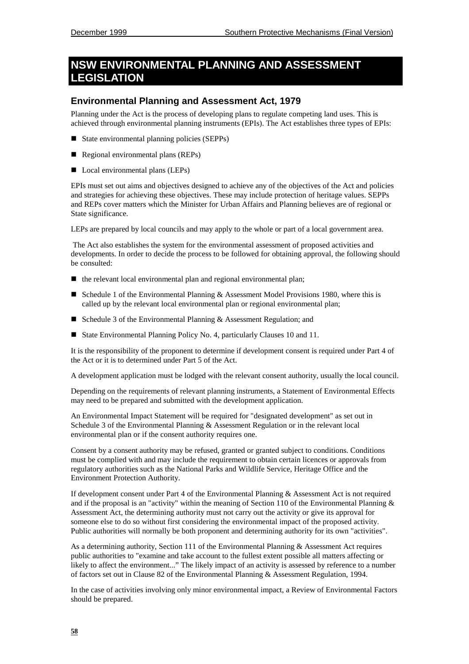# **NSW ENVIRONMENTAL PLANNING AND ASSESSMENT EGISLATION**

#### **Environmental Planning and Assessment Act, 1979**

Planning under the Act is the process of developing plans to regulate competing land uses. This is achieved through environmental planning instruments (EPIs). The Act establishes three types of EPIs:

- State environmental planning policies (SEPPs)
- Regional environmental plans (REPs)
- Local environmental plans (LEPs)

EPIs must set out aims and objectives designed to achieve any of the objectives of the Act and policies and strategies for achieving these objectives. These may include protection of heritage values. SEPPs and REPs cover matters which the Minister for Urban Affairs and Planning believes are of regional or State significance.

LEPs are prepared by local councils and may apply to the whole or part of a local government area.

 The Act also establishes the system for the environmental assessment of proposed activities and developments. In order to decide the process to be followed for obtaining approval, the following should be consulted:

- $\blacksquare$  the relevant local environmental plan and regional environmental plan;
- Schedule 1 of the Environmental Planning & Assessment Model Provisions 1980, where this is called up by the relevant local environmental plan or regional environmental plan;
- Schedule 3 of the Environmental Planning  $\&$  Assessment Regulation; and
- State Environmental Planning Policy No. 4, particularly Clauses 10 and 11.

It is the responsibility of the proponent to determine if development consent is required under Part 4 of the Act or it is to determined under Part 5 of the Act.

A development application must be lodged with the relevant consent authority, usually the local council.

Depending on the requirements of relevant planning instruments, a Statement of Environmental Effects may need to be prepared and submitted with the development application.

An Environmental Impact Statement will be required for "designated development" as set out in Schedule 3 of the Environmental Planning & Assessment Regulation or in the relevant local environmental plan or if the consent authority requires one.

Consent by a consent authority may be refused, granted or granted subject to conditions. Conditions must be complied with and may include the requirement to obtain certain licences or approvals from regulatory authorities such as the National Parks and Wildlife Service, Heritage Office and the Environment Protection Authority.

If development consent under Part 4 of the Environmental Planning & Assessment Act is not required and if the proposal is an "activity" within the meaning of Section 110 of the Environmental Planning  $\&$ Assessment Act, the determining authority must not carry out the activity or give its approval for someone else to do so without first considering the environmental impact of the proposed activity. Public authorities will normally be both proponent and determining authority for its own "activities".

As a determining authority, Section 111 of the Environmental Planning & Assessment Act requires public authorities to "examine and take account to the fullest extent possible all matters affecting or likely to affect the environment..." The likely impact of an activity is assessed by reference to a number of factors set out in Clause 82 of the Environmental Planning & Assessment Regulation, 1994.

In the case of activities involving only minor environmental impact, a Review of Environmental Factors should be prepared.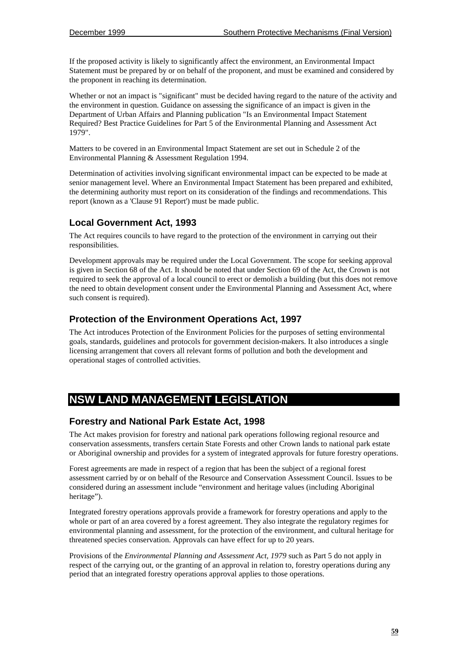If the proposed activity is likely to significantly affect the environment, an Environmental Impact Statement must be prepared by or on behalf of the proponent, and must be examined and considered by the proponent in reaching its determination.

Whether or not an impact is "significant" must be decided having regard to the nature of the activity and the environment in question. Guidance on assessing the significance of an impact is given in the Department of Urban Affairs and Planning publication "Is an Environmental Impact Statement Required? Best Practice Guidelines for Part 5 of the Environmental Planning and Assessment Act 1979".

Matters to be covered in an Environmental Impact Statement are set out in Schedule 2 of the Environmental Planning & Assessment Regulation 1994.

Determination of activities involving significant environmental impact can be expected to be made at senior management level. Where an Environmental Impact Statement has been prepared and exhibited, the determining authority must report on its consideration of the findings and recommendations. This report (known as a 'Clause 91 Report') must be made public.

### **Local Government Act, 1993**

The Act requires councils to have regard to the protection of the environment in carrying out their responsibilities.

Development approvals may be required under the Local Government. The scope for seeking approval is given in Section 68 of the Act. It should be noted that under Section 69 of the Act, the Crown is not required to seek the approval of a local council to erect or demolish a building (but this does not remove the need to obtain development consent under the Environmental Planning and Assessment Act, where such consent is required).

### **Protection of the Environment Operations Act, 1997**

The Act introduces Protection of the Environment Policies for the purposes of setting environmental goals, standards, guidelines and protocols for government decision-makers. It also introduces a single licensing arrangement that covers all relevant forms of pollution and both the development and operational stages of controlled activities.

# **NSW LAND MANAGEMENT LEGISLATION**

#### **Forestry and National Park Estate Act, 1998**

The Act makes provision for forestry and national park operations following regional resource and conservation assessments, transfers certain State Forests and other Crown lands to national park estate or Aboriginal ownership and provides for a system of integrated approvals for future forestry operations.

Forest agreements are made in respect of a region that has been the subject of a regional forest assessment carried by or on behalf of the Resource and Conservation Assessment Council. Issues to be considered during an assessment include "environment and heritage values (including Aboriginal heritage").

Integrated forestry operations approvals provide a framework for forestry operations and apply to the whole or part of an area covered by a forest agreement. They also integrate the regulatory regimes for environmental planning and assessment, for the protection of the environment, and cultural heritage for threatened species conservation. Approvals can have effect for up to 20 years.

Provisions of the *Environmental Planning and Assessment Act, 1979* such as Part 5 do not apply in respect of the carrying out, or the granting of an approval in relation to, forestry operations during any period that an integrated forestry operations approval applies to those operations.